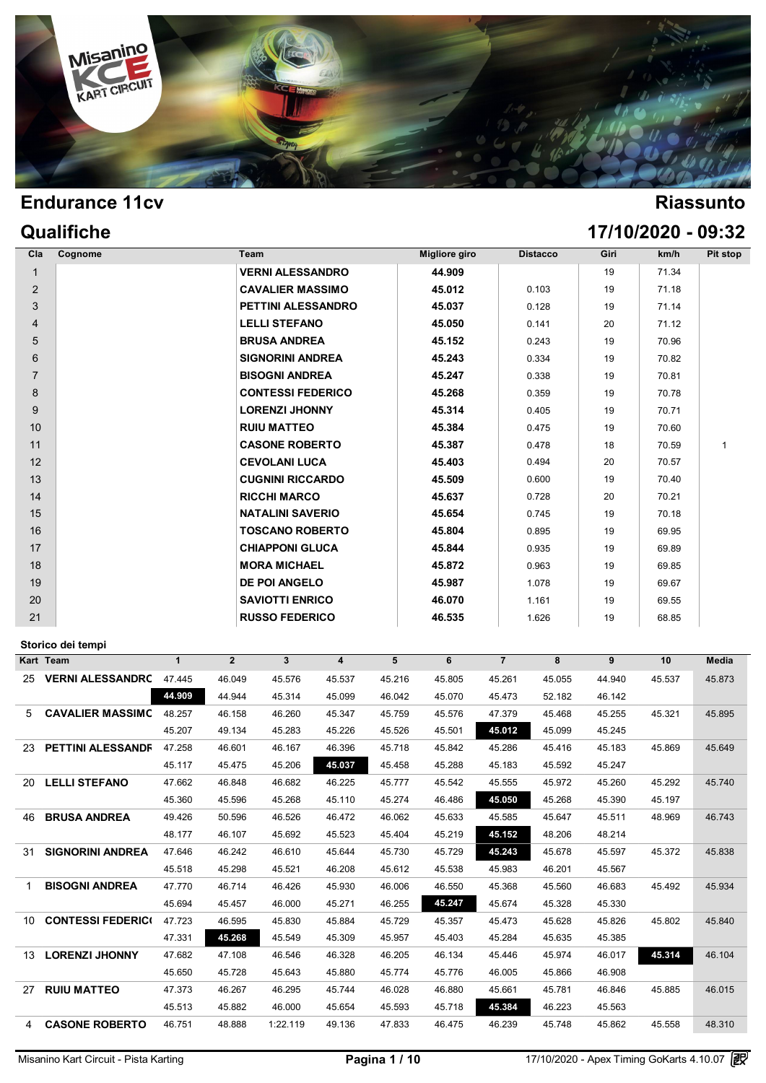

|                | Qualifiche |                          |                      |                 |      | 17/10/2020 - 09:32 |          |
|----------------|------------|--------------------------|----------------------|-----------------|------|--------------------|----------|
| Cla            | Cognome    | Team                     | <b>Migliore giro</b> | <b>Distacco</b> | Giri | km/h               | Pit stop |
|                |            | <b>VERNI ALESSANDRO</b>  | 44.909               |                 | 19   | 71.34              |          |
| 2              |            | <b>CAVALIER MASSIMO</b>  | 45.012               | 0.103           | 19   | 71.18              |          |
| 3              |            | PETTINI ALESSANDRO       | 45.037               | 0.128           | 19   | 71.14              |          |
| $\overline{4}$ |            | <b>LELLI STEFANO</b>     | 45.050               | 0.141           | 20   | 71.12              |          |
| 5              |            | <b>BRUSA ANDREA</b>      | 45.152               | 0.243           | 19   | 70.96              |          |
| 6              |            | <b>SIGNORINI ANDREA</b>  | 45.243               | 0.334           | 19   | 70.82              |          |
| $\overline{7}$ |            | <b>BISOGNI ANDREA</b>    | 45.247               | 0.338           | 19   | 70.81              |          |
| 8              |            | <b>CONTESSI FEDERICO</b> | 45.268               | 0.359           | 19   | 70.78              |          |
| 9              |            | <b>LORENZI JHONNY</b>    | 45.314               | 0.405           | 19   | 70.71              |          |
| 10             |            | <b>RUIU MATTEO</b>       | 45.384               | 0.475           | 19   | 70.60              |          |
| 11             |            | <b>CASONE ROBERTO</b>    | 45.387               | 0.478           | 18   | 70.59              | 1        |
| 12             |            | <b>CEVOLANI LUCA</b>     | 45.403               | 0.494           | 20   | 70.57              |          |
| 13             |            | <b>CUGNINI RICCARDO</b>  | 45.509               | 0.600           | 19   | 70.40              |          |
| 14             |            | <b>RICCHI MARCO</b>      | 45.637               | 0.728           | 20   | 70.21              |          |
| 15             |            | <b>NATALINI SAVERIO</b>  | 45.654               | 0.745           | 19   | 70.18              |          |
| 16             |            | <b>TOSCANO ROBERTO</b>   | 45.804               | 0.895           | 19   | 69.95              |          |
| 17             |            | <b>CHIAPPONI GLUCA</b>   | 45.844               | 0.935           | 19   | 69.89              |          |
| 18             |            | <b>MORA MICHAEL</b>      | 45.872               | 0.963           | 19   | 69.85              |          |
| 19             |            | <b>DE POI ANGELO</b>     | 45.987               | 1.078           | 19   | 69.67              |          |
| 20             |            | <b>SAVIOTTI ENRICO</b>   | 46.070               | 1.161           | 19   | 69.55              |          |
| 21             |            | <b>RUSSO FEDERICO</b>    | 46.535               | 1.626           | 19   | 68.85              |          |

### **Storico dei tempi**

|    | Kart Team                | 1      | $\overline{2}$ | 3        | 4      | 5      | 6      | $\overline{7}$ | 8      | 9      | 10     | Media  |
|----|--------------------------|--------|----------------|----------|--------|--------|--------|----------------|--------|--------|--------|--------|
| 25 | <b>VERNI ALESSANDRC</b>  | 47.445 | 46.049         | 45.576   | 45.537 | 45.216 | 45.805 | 45.261         | 45.055 | 44.940 | 45.537 | 45.873 |
|    |                          | 44.909 | 44.944         | 45.314   | 45.099 | 46.042 | 45.070 | 45.473         | 52.182 | 46.142 |        |        |
| 5. | <b>CAVALIER MASSIMC</b>  | 48.257 | 46.158         | 46.260   | 45.347 | 45.759 | 45.576 | 47.379         | 45.468 | 45.255 | 45.321 | 45.895 |
|    |                          | 45.207 | 49.134         | 45.283   | 45.226 | 45.526 | 45.501 | 45.012         | 45.099 | 45.245 |        |        |
|    | 23 PETTINI ALESSANDF     | 47.258 | 46.601         | 46.167   | 46.396 | 45.718 | 45.842 | 45.286         | 45.416 | 45.183 | 45.869 | 45.649 |
|    |                          | 45.117 | 45.475         | 45.206   | 45.037 | 45.458 | 45.288 | 45.183         | 45.592 | 45.247 |        |        |
| 20 | <b>LELLI STEFANO</b>     | 47.662 | 46.848         | 46.682   | 46.225 | 45.777 | 45.542 | 45.555         | 45.972 | 45.260 | 45.292 | 45.740 |
|    |                          | 45.360 | 45.596         | 45.268   | 45.110 | 45.274 | 46.486 | 45.050         | 45.268 | 45.390 | 45.197 |        |
| 46 | <b>BRUSA ANDREA</b>      | 49.426 | 50.596         | 46.526   | 46.472 | 46.062 | 45.633 | 45.585         | 45.647 | 45.511 | 48.969 | 46.743 |
|    |                          | 48.177 | 46.107         | 45.692   | 45.523 | 45.404 | 45.219 | 45.152         | 48.206 | 48.214 |        |        |
| 31 | <b>SIGNORINI ANDREA</b>  | 47.646 | 46.242         | 46.610   | 45.644 | 45.730 | 45.729 | 45.243         | 45.678 | 45.597 | 45.372 | 45.838 |
|    |                          | 45.518 | 45.298         | 45.521   | 46.208 | 45.612 | 45.538 | 45.983         | 46.201 | 45.567 |        |        |
| 1  | <b>BISOGNI ANDREA</b>    | 47.770 | 46.714         | 46.426   | 45.930 | 46.006 | 46.550 | 45.368         | 45.560 | 46.683 | 45.492 | 45.934 |
|    |                          | 45.694 | 45.457         | 46.000   | 45.271 | 46.255 | 45.247 | 45.674         | 45.328 | 45.330 |        |        |
| 10 | <b>CONTESSI FEDERICI</b> | 47.723 | 46.595         | 45.830   | 45.884 | 45.729 | 45.357 | 45.473         | 45.628 | 45.826 | 45.802 | 45.840 |
|    |                          | 47.331 | 45.268         | 45.549   | 45.309 | 45.957 | 45.403 | 45.284         | 45.635 | 45.385 |        |        |
| 13 | <b>LORENZI JHONNY</b>    | 47.682 | 47.108         | 46.546   | 46.328 | 46.205 | 46.134 | 45.446         | 45.974 | 46.017 | 45.314 | 46.104 |
|    |                          | 45.650 | 45.728         | 45.643   | 45.880 | 45.774 | 45.776 | 46.005         | 45.866 | 46.908 |        |        |
| 27 | <b>RUIU MATTEO</b>       | 47.373 | 46.267         | 46.295   | 45.744 | 46.028 | 46.880 | 45.661         | 45.781 | 46.846 | 45.885 | 46.015 |
|    |                          | 45.513 | 45.882         | 46.000   | 45.654 | 45.593 | 45.718 | 45.384         | 46.223 | 45.563 |        |        |
| 4  | <b>CASONE ROBERTO</b>    | 46.751 | 48.888         | 1:22.119 | 49.136 | 47.833 | 46.475 | 46.239         | 45.748 | 45.862 | 45.558 | 48.310 |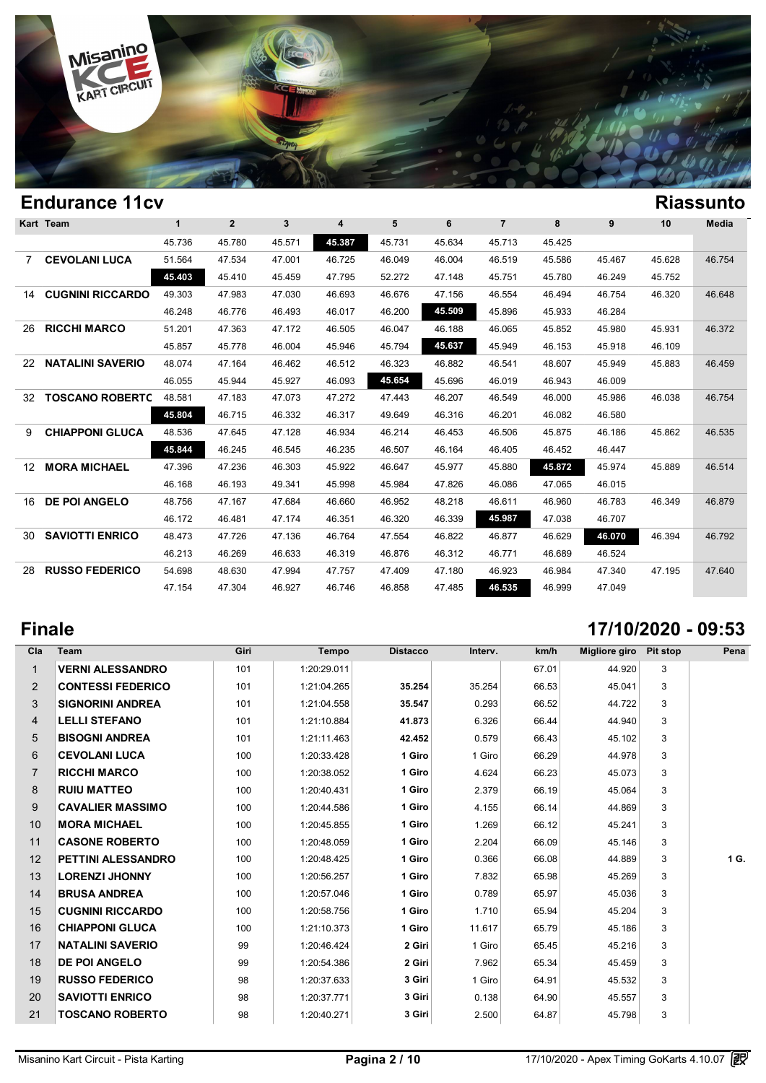

|                 | <b>Kart Team</b>        | 1      | $\overline{2}$ | 3      | 4      | 5      | 6      | $\overline{7}$ | 8      | 9      | 10     | Media  |
|-----------------|-------------------------|--------|----------------|--------|--------|--------|--------|----------------|--------|--------|--------|--------|
|                 |                         | 45.736 | 45.780         | 45.571 | 45.387 | 45.731 | 45.634 | 45.713         | 45.425 |        |        |        |
| 7               | <b>CEVOLANI LUCA</b>    | 51.564 | 47.534         | 47.001 | 46.725 | 46.049 | 46.004 | 46.519         | 45.586 | 45.467 | 45.628 | 46.754 |
|                 |                         | 45.403 | 45.410         | 45.459 | 47.795 | 52.272 | 47.148 | 45.751         | 45.780 | 46.249 | 45.752 |        |
| 14              | <b>CUGNINI RICCARDO</b> | 49.303 | 47.983         | 47.030 | 46.693 | 46.676 | 47.156 | 46.554         | 46.494 | 46.754 | 46.320 | 46.648 |
|                 |                         | 46.248 | 46.776         | 46.493 | 46.017 | 46.200 | 45.509 | 45.896         | 45.933 | 46.284 |        |        |
| 26              | <b>RICCHI MARCO</b>     | 51.201 | 47.363         | 47.172 | 46.505 | 46.047 | 46.188 | 46.065         | 45.852 | 45.980 | 45.931 | 46.372 |
|                 |                         | 45.857 | 45.778         | 46.004 | 45.946 | 45.794 | 45.637 | 45.949         | 46.153 | 45.918 | 46.109 |        |
| 22              | <b>NATALINI SAVERIO</b> | 48.074 | 47.164         | 46.462 | 46.512 | 46.323 | 46.882 | 46.541         | 48.607 | 45.949 | 45.883 | 46.459 |
|                 |                         | 46.055 | 45.944         | 45.927 | 46.093 | 45.654 | 45.696 | 46.019         | 46.943 | 46.009 |        |        |
| 32              | <b>TOSCANO ROBERTC</b>  | 48.581 | 47.183         | 47.073 | 47.272 | 47.443 | 46.207 | 46.549         | 46,000 | 45.986 | 46.038 | 46.754 |
|                 |                         | 45.804 | 46.715         | 46.332 | 46.317 | 49.649 | 46.316 | 46.201         | 46.082 | 46.580 |        |        |
| 9               | <b>CHIAPPONI GLUCA</b>  | 48.536 | 47.645         | 47.128 | 46.934 | 46.214 | 46.453 | 46.506         | 45.875 | 46.186 | 45.862 | 46.535 |
|                 |                         | 45.844 | 46.245         | 46.545 | 46.235 | 46.507 | 46.164 | 46.405         | 46.452 | 46.447 |        |        |
| 12 <sup>°</sup> | <b>MORA MICHAEL</b>     | 47.396 | 47.236         | 46.303 | 45.922 | 46.647 | 45.977 | 45.880         | 45.872 | 45.974 | 45.889 | 46.514 |
|                 |                         | 46.168 | 46.193         | 49.341 | 45.998 | 45.984 | 47.826 | 46.086         | 47.065 | 46.015 |        |        |
| 16              | <b>DE POI ANGELO</b>    | 48.756 | 47.167         | 47.684 | 46.660 | 46.952 | 48.218 | 46.611         | 46.960 | 46.783 | 46.349 | 46.879 |
|                 |                         | 46.172 | 46.481         | 47.174 | 46.351 | 46.320 | 46.339 | 45.987         | 47.038 | 46.707 |        |        |
| 30              | <b>SAVIOTTI ENRICO</b>  | 48.473 | 47.726         | 47.136 | 46.764 | 47.554 | 46.822 | 46.877         | 46.629 | 46.070 | 46.394 | 46.792 |
|                 |                         | 46.213 | 46.269         | 46.633 | 46.319 | 46.876 | 46.312 | 46.771         | 46.689 | 46.524 |        |        |
| 28              | <b>RUSSO FEDERICO</b>   | 54.698 | 48.630         | 47.994 | 47.757 | 47.409 | 47.180 | 46.923         | 46.984 | 47.340 | 47.195 | 47.640 |
|                 |                         | 47.154 | 47.304         | 46.927 | 46.746 | 46.858 | 47.485 | 46.535         | 46.999 | 47.049 |        |        |

## **Finale 17/10/2020 - 09:53**

| Cla            | Team                      | Giri | Tempo       | <b>Distacco</b> | Interv. | km/h  | Migliore giro Pit stop |   | Pena |
|----------------|---------------------------|------|-------------|-----------------|---------|-------|------------------------|---|------|
| $\mathbf{1}$   | <b>VERNI ALESSANDRO</b>   | 101  | 1:20:29.011 |                 |         | 67.01 | 44.920                 | 3 |      |
| 2              | <b>CONTESSI FEDERICO</b>  | 101  | 1:21:04.265 | 35.254          | 35.254  | 66.53 | 45.041                 | 3 |      |
| 3              | <b>SIGNORINI ANDREA</b>   | 101  | 1:21:04.558 | 35.547          | 0.293   | 66.52 | 44.722                 | 3 |      |
| 4              | <b>LELLI STEFANO</b>      | 101  | 1:21:10.884 | 41.873          | 6.326   | 66.44 | 44.940                 | 3 |      |
| 5              | <b>BISOGNI ANDREA</b>     | 101  | 1:21:11.463 | 42.452          | 0.579   | 66.43 | 45.102                 | 3 |      |
| 6              | <b>CEVOLANI LUCA</b>      | 100  | 1:20:33.428 | 1 Giro          | 1 Giro  | 66.29 | 44.978                 | 3 |      |
| $\overline{7}$ | <b>RICCHI MARCO</b>       | 100  | 1:20:38.052 | 1 Giro          | 4.624   | 66.23 | 45.073                 | 3 |      |
| 8              | <b>RUIU MATTEO</b>        | 100  | 1:20:40.431 | 1 Giro          | 2.379   | 66.19 | 45.064                 | 3 |      |
| 9              | <b>CAVALIER MASSIMO</b>   | 100  | 1:20:44.586 | 1 Giro          | 4.155   | 66.14 | 44.869                 | 3 |      |
| 10             | <b>MORA MICHAEL</b>       | 100  | 1:20:45.855 | 1 Giro          | 1.269   | 66.12 | 45.241                 | 3 |      |
| 11             | <b>CASONE ROBERTO</b>     | 100  | 1:20:48.059 | 1 Giro          | 2.204   | 66.09 | 45.146                 | 3 |      |
| 12             | <b>PETTINI ALESSANDRO</b> | 100  | 1:20:48.425 | 1 Giro          | 0.366   | 66.08 | 44.889                 | 3 | 1 G. |
| 13             | <b>LORENZI JHONNY</b>     | 100  | 1:20:56.257 | 1 Giro          | 7.832   | 65.98 | 45.269                 | 3 |      |
| 14             | <b>BRUSA ANDREA</b>       | 100  | 1:20:57.046 | 1 Giro          | 0.789   | 65.97 | 45.036                 | 3 |      |
| 15             | <b>CUGNINI RICCARDO</b>   | 100  | 1:20:58.756 | 1 Giro          | 1.710   | 65.94 | 45.204                 | 3 |      |
| 16             | <b>CHIAPPONI GLUCA</b>    | 100  | 1:21:10.373 | 1 Giro          | 11.617  | 65.79 | 45.186                 | 3 |      |
| 17             | <b>NATALINI SAVERIO</b>   | 99   | 1:20:46.424 | 2 Giri          | 1 Giro  | 65.45 | 45.216                 | 3 |      |
| 18             | <b>DE POI ANGELO</b>      | 99   | 1:20:54.386 | 2 Giri          | 7.962   | 65.34 | 45.459                 | 3 |      |
| 19             | <b>RUSSO FEDERICO</b>     | 98   | 1:20:37.633 | 3 Giri          | 1 Giro  | 64.91 | 45.532                 | 3 |      |
| 20             | <b>SAVIOTTI ENRICO</b>    | 98   | 1:20:37.771 | 3 Giri          | 0.138   | 64.90 | 45.557                 | 3 |      |
| 21             | <b>TOSCANO ROBERTO</b>    | 98   | 1:20:40.271 | 3 Giri          | 2.500   | 64.87 | 45.798                 | 3 |      |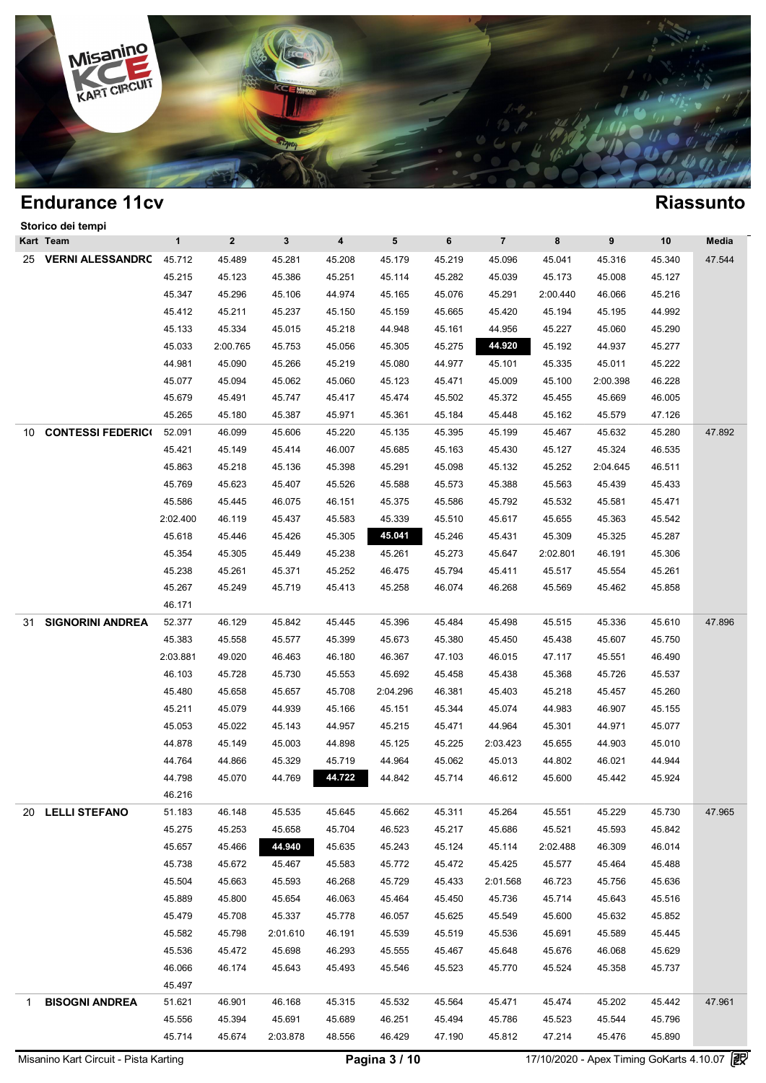

|    | Storico dei tempi       |              |                |              |        |          |        |                |          |          |        |        |
|----|-------------------------|--------------|----------------|--------------|--------|----------|--------|----------------|----------|----------|--------|--------|
|    | Kart Team               | $\mathbf{1}$ | $\overline{2}$ | $\mathbf{3}$ | 4      | 5        | 6      | $\overline{7}$ | 8        | 9        | 10     | Media  |
|    | 25 VERNI ALESSANDRC     | 45.712       | 45.489         | 45.281       | 45.208 | 45.179   | 45.219 | 45.096         | 45.041   | 45.316   | 45.340 | 47.544 |
|    |                         | 45.215       | 45.123         | 45.386       | 45.251 | 45.114   | 45.282 | 45.039         | 45.173   | 45.008   | 45.127 |        |
|    |                         | 45.347       | 45.296         | 45.106       | 44.974 | 45.165   | 45.076 | 45.291         | 2:00.440 | 46.066   | 45.216 |        |
|    |                         | 45.412       | 45.211         | 45.237       | 45.150 | 45.159   | 45.665 | 45.420         | 45.194   | 45.195   | 44.992 |        |
|    |                         | 45.133       | 45.334         | 45.015       | 45.218 | 44.948   | 45.161 | 44.956         | 45.227   | 45.060   | 45.290 |        |
|    |                         | 45.033       | 2:00.765       | 45.753       | 45.056 | 45.305   | 45.275 | 44.920         | 45.192   | 44.937   | 45.277 |        |
|    |                         | 44.981       | 45.090         | 45.266       | 45.219 | 45.080   | 44.977 | 45.101         | 45.335   | 45.011   | 45.222 |        |
|    |                         | 45.077       | 45.094         | 45.062       | 45.060 | 45.123   | 45.471 | 45.009         | 45.100   | 2:00.398 | 46.228 |        |
|    |                         | 45.679       | 45.491         | 45.747       | 45.417 | 45.474   | 45.502 | 45.372         | 45.455   | 45.669   | 46.005 |        |
|    |                         | 45.265       | 45.180         | 45.387       | 45.971 | 45.361   | 45.184 | 45.448         | 45.162   | 45.579   | 47.126 |        |
|    | 10 CONTESSI FEDERICO    | 52.091       | 46.099         | 45.606       | 45.220 | 45.135   | 45.395 | 45.199         | 45.467   | 45.632   | 45.280 | 47.892 |
|    |                         | 45.421       | 45.149         | 45.414       | 46.007 | 45.685   | 45.163 | 45.430         | 45.127   | 45.324   | 46.535 |        |
|    |                         | 45.863       | 45.218         | 45.136       | 45.398 | 45.291   | 45.098 | 45.132         | 45.252   | 2:04.645 | 46.511 |        |
|    |                         | 45.769       | 45.623         | 45.407       | 45.526 | 45.588   | 45.573 | 45.388         | 45.563   | 45.439   | 45.433 |        |
|    |                         | 45.586       | 45.445         | 46.075       | 46.151 | 45.375   | 45.586 | 45.792         | 45.532   | 45.581   | 45.471 |        |
|    |                         | 2:02.400     | 46.119         | 45.437       | 45.583 | 45.339   | 45.510 | 45.617         | 45.655   | 45.363   | 45.542 |        |
|    |                         | 45.618       | 45.446         | 45.426       | 45.305 | 45.041   | 45.246 | 45.431         | 45.309   | 45.325   | 45.287 |        |
|    |                         | 45.354       | 45.305         | 45.449       | 45.238 | 45.261   | 45.273 | 45.647         | 2:02.801 | 46.191   | 45.306 |        |
|    |                         | 45.238       | 45.261         | 45.371       | 45.252 | 46.475   | 45.794 | 45.411         | 45.517   | 45.554   | 45.261 |        |
|    |                         | 45.267       | 45.249         | 45.719       | 45.413 | 45.258   | 46.074 | 46.268         | 45.569   | 45.462   | 45.858 |        |
|    |                         | 46.171       |                |              |        |          |        |                |          |          |        |        |
| 31 | <b>SIGNORINI ANDREA</b> | 52.377       | 46.129         | 45.842       | 45.445 | 45.396   | 45.484 | 45.498         | 45.515   | 45.336   | 45.610 | 47.896 |
|    |                         | 45.383       | 45.558         | 45.577       | 45.399 | 45.673   | 45.380 | 45.450         | 45.438   | 45.607   | 45.750 |        |
|    |                         | 2:03.881     | 49.020         | 46.463       | 46.180 | 46.367   | 47.103 | 46.015         | 47.117   | 45.551   | 46.490 |        |
|    |                         | 46.103       | 45.728         | 45.730       | 45.553 | 45.692   | 45.458 | 45.438         | 45.368   | 45.726   | 45.537 |        |
|    |                         | 45.480       | 45.658         | 45.657       | 45.708 | 2:04.296 | 46.381 | 45.403         | 45.218   | 45.457   | 45.260 |        |
|    |                         | 45.211       | 45.079         | 44.939       | 45.166 | 45.151   | 45.344 | 45.074         | 44.983   | 46.907   | 45.155 |        |
|    |                         | 45.053       | 45.022         | 45.143       | 44.957 | 45.215   | 45.471 | 44.964         | 45.301   | 44.971   | 45.077 |        |
|    |                         | 44.878       | 45.149         | 45.003       | 44.898 | 45.125   | 45.225 | 2:03.423       | 45.655   | 44.903   | 45.010 |        |
|    |                         | 44.764       | 44.866         | 45.329       | 45.719 | 44.964   | 45.062 | 45.013         | 44.802   | 46.021   | 44.944 |        |
|    |                         | 44.798       | 45.070         | 44.769       | 44.722 | 44.842   | 45.714 | 46.612         | 45.600   | 45.442   | 45.924 |        |
|    |                         | 46.216       |                |              |        |          |        |                |          |          |        |        |
|    | 20 LELLI STEFANO        | 51.183       | 46.148         | 45.535       | 45.645 | 45.662   | 45.311 | 45.264         | 45.551   | 45.229   | 45.730 | 47.965 |
|    |                         | 45.275       | 45.253         | 45.658       | 45.704 | 46.523   | 45.217 | 45.686         | 45.521   | 45.593   | 45.842 |        |
|    |                         | 45.657       | 45.466         | 44.940       | 45.635 | 45.243   | 45.124 | 45.114         | 2:02.488 | 46.309   | 46.014 |        |
|    |                         | 45.738       | 45.672         | 45.467       | 45.583 | 45.772   | 45.472 | 45.425         | 45.577   | 45.464   | 45.488 |        |
|    |                         | 45.504       | 45.663         | 45.593       | 46.268 | 45.729   | 45.433 | 2:01.568       | 46.723   | 45.756   | 45.636 |        |
|    |                         | 45.889       | 45.800         | 45.654       | 46.063 | 45.464   | 45.450 | 45.736         | 45.714   | 45.643   | 45.516 |        |
|    |                         | 45.479       | 45.708         | 45.337       | 45.778 | 46.057   | 45.625 | 45.549         | 45.600   | 45.632   | 45.852 |        |
|    |                         | 45.582       | 45.798         | 2:01.610     | 46.191 | 45.539   | 45.519 | 45.536         | 45.691   | 45.589   | 45.445 |        |
|    |                         | 45.536       | 45.472         | 45.698       | 46.293 | 45.555   | 45.467 | 45.648         | 45.676   | 46.068   | 45.629 |        |
|    |                         | 46.066       | 46.174         | 45.643       | 45.493 | 45.546   | 45.523 | 45.770         | 45.524   | 45.358   | 45.737 |        |
|    |                         | 45.497       |                |              |        |          |        |                |          |          |        |        |
| 1  | <b>BISOGNI ANDREA</b>   | 51.621       | 46.901         | 46.168       | 45.315 | 45.532   | 45.564 | 45.471         | 45.474   | 45.202   | 45.442 | 47.961 |
|    |                         | 45.556       | 45.394         | 45.691       | 45.689 | 46.251   | 45.494 | 45.786         | 45.523   | 45.544   | 45.796 |        |
|    |                         | 45.714       | 45.674         | 2:03.878     | 48.556 | 46.429   | 47.190 | 45.812         | 47.214   | 45.476   | 45.890 |        |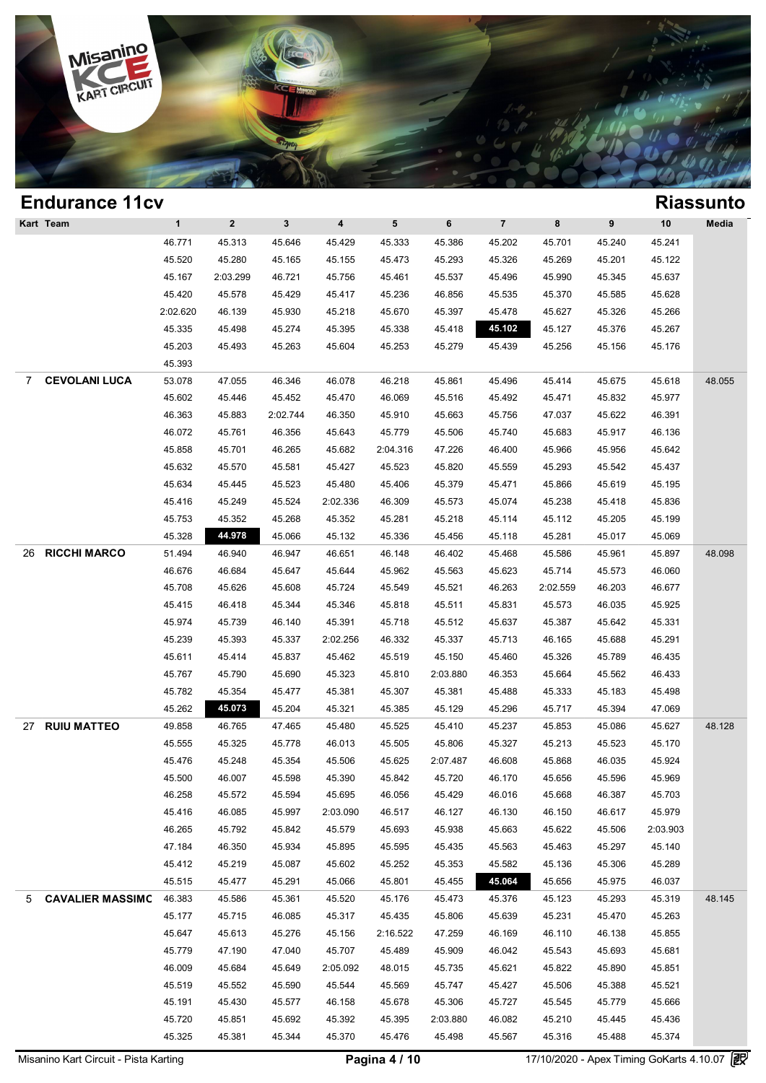

### **Endurance 11cv Riassunto Kart Team 1 2 3 4 5 6 7 8 9 10 Media** 1 2 3 4 5 6 7 8 9 10<br>46.771 45.313 45.646 45.429 45.333 45.386 45.202 45.701 45.240 45.241 45.520 45.280 45.165 45.155 45.473 45.293 45.326 45.269 45.201 45.122 45.520 45.280 45.165 45.155 45.473 45.293 45.326 45.269 45.201 45.122<br>45.167 2:03.299 46.721 45.756 45.461 45.537 45.496 45.990 45.345 45.637 45.167 2:03.299 46.721 45.756 45.461 45.537 45.496 45.990 45.345 45.637<br>45.420 45.578 45.429 45.417 45.236 46.856 45.535 45.370 45.585 45.628 2:02.620 46.139 45.930 45.218 45.670 45.397 45.478 45.627 45.326 45.266 45.335 45.498 45.274 45.395 45.338 45.418 **45.102** 45.127 45.376 45.267 45.335 45.498 45.274 45.395 45.338 45.418 <mark>45.102</mark> 45.127 45.376 45.267<br>45.203 45.493 45.263 45.604 45.253 45.279 45.439 45.256 45.156 45.176 45.393 7 **CEVOLANI LUCA** 53.078 47.055 46.346 46.078 46.218 45.861 45.496 45.414 45.675 45.618 48.055 45.602 45.446 45.452 45.470 46.069 45.516 45.492 45.471 45.832 45.977 46.363 45.883 2:02.744 46.350 45.910 45.663 45.756 47.037 45.622 46.391 46.363 45.883 2:02.744 46.350 45.910 45.663 45.756 47.037 45.622 46.391<br>46.072 45.761 46.356 45.643 45.779 45.506 45.740 45.683 45.917 46.136 45.858 45.701 46.265 45.682 2:04.316 47.226 46.400 45.966 45.956 45.642 45.858 45.701 46.265 45.682 2:04.316 47.226 46.400 45.966 45.956 45.642<br>45.632 45.570 45.581 45.427 45.523 45.820 45.559 45.293 45.542 45.437 45.632 45.570 45.581 45.427 45.523 45.820 45.559 45.293 45.542 45.437<br>45.634 45.445 45.523 45.480 45.406 45.379 45.471 45.866 45.619 45.195 45.634 45.445 45.523 45.480 45.406 45.379 45.471 45.866 45.619 45.195<br>45.416 45.249 45.524 2:02.336 46.309 45.573 45.074 45.238 45.418 45.836 45.416 45.249 45.524 2:02.336 46.309 45.573 45.074 45.238 45.418 45.836<br>45.753 45.352 45.268 45.352 45.281 45.218 45.114 45.112 45.205 45.199 45.328 **44.978** 45.066 45.132 45.336 45.456 45.118 45.281 45.017 45.069 26 **RICCHI MARCO** 51.494 46.940 46.947 46.651 46.148 46.402 45.468 45.586 45.961 45.897 48.098 46.940 46.947 46.651 46.148 46.402 45.468 45.586 45.961 45.897<br>46.676 46.684 45.647 45.644 45.962 45.563 45.623 45.714 45.573 46.060 45.708 45.626 45.608 45.724 45.549 45.521 46.263 2:02.559 46.203 46.677 45.708 45.626 45.608 45.724 45.549 45.521 46.263 2:02.559 46.203 46.677<br>45.415 46.418 45.344 45.346 45.818 45.511 45.831 45.573 46.035 45.925 45.415 46.418 45.344 45.346 45.818 45.511 45.831 45.573 46.035 45.925<br>45.974 45.739 46.140 45.391 45.718 45.512 45.637 45.387 45.642 45.331 45.974 45.739 46.140 45.391 45.512 45.637 45.387 45.642 45.331<br>45.239 45.393 45.337 2:02.256 46.332 45.737 45.713 46.165 45.239 45.393 45.337 2:02.256 46.332 45.337 45.713 46.165 45.688 45.291<br>45.611 45.414 45.837 45.462 45.519 45.150 45.460 45.326 45.789 46.435 45.611 45.414 45.837 45.462 45.519 45.150 45.460 45.326 45.789 46.435<br>45.767 45.790 45.690 45.323 45.810 2:03.880 46.353 45.664 45.562 46.433 45.782 45.354 45.477 45.381 45.307 45.381 45.488 45.333 45.183 45.498 45.262 **45.073** 45.204 45.321 45.385 45.129 45.296 45.717 45.394 47.069 27 **RUIU MATTEO** 49.858 46.765 47.465 45.480 45.525 45.410 45.237 45.853 45.086 45.627 48.128 49.858 46.765 47.465 45.480 45.525 45.410 45.237 45.853 45.086 45.627<br>45.555 45.325 45.778 46.013 45.505 45.806 45.327 45.213 45.523 45.170 45.476 45.248 45.354 45.506 45.625 2:07.487 46.608 45.868 46.035 45.924 45.476 45.248 45.354 45.506 45.625 2:07.487 46.608 45.868 46.035 45.924<br>45.500 46.007 45.598 45.390 45.842 45.720 46.170 45.656 45.596 45.969 45.500 46.007 45.598 45.390 45.842 45.720 46.170 45.656 45.596 45.969<br>46.258 45.572 45.594 45.695 46.056 45.429 46.016 45.668 46.387 45.703 46.258 45.572 45.594 45.695 46.056 45.429 46.016 45.668 46.387 45.703<br>45.416 46.085 45.997 2:03.090 46.517 46.127 46.130 46.150 46.617 45.979 45.416 46.085 45.997 2:03.090 46.517 46.127 46.130 46.150 46.617 45.979<br>46.265 45.792 45.842 45.579 45.693 45.938 45.663 45.622 45.506 2:03.903 46.265 45.792 45.842 45.579 45.693 45.938 45.663 45.622 45.506 2:03.903<br>47.184 46.350 45.934 45.895 45.595 45.435 45.563 45.463 45.297 45.140 47.184 46.350 45.934 45.895 45.595 45.435 45.563 45.463 45.297 45.140<br>45.412 45.219 45.087 45.602 45.252 45.353 <u>45.582 45.136 45.306 45.289</u> 45.515 45.477 45.291 45.066 45.801 45.455 **45.064** 45.656 45.975 46.037 5 **CAVALIER MASSIMO** 46.383 45.586 45.361 45.520 45.176 45.473 45.376 45.123 45.293 45.319 48.145 46.383 45.586 45.361 45.520 45.176 45.473 45.376 45.123 45.293 45.319<br>45.177 45.715 46.085 45.317 45.435 45.806 45.639 45.231 45.470 45.263 45.647 45.613 45.276 45.156 2:16.522 47.259 46.169 46.110 46.138 45.855 45.647 45.613 45.276 45.156 2:16.522 47.259 46.169 46.110 46.138 45.855<br>45.779 47.190 47.040 45.707 45.489 45.909 46.042 45.543 45.693 45.681 46.009 45.684 45.649 2:05.092 48.015 45.735 45.621 45.822 45.890 45.851 45.519 45.552 45.590 45.544 45.569 45.747 45.427 45.506 45.388 45.521 45.519 45.552 45.590 45.569 45.747 45.427 45.506 45.388 45.521<br>45.191 45.430 45.577 46.158 45.678 45.306 45.727 45.720 45.851 45.692 45.392 45.395 2:03.880 46.082 45.210 45.445 45.436 45.720 45.851 45.692 45.392 45.395 2:03.880 46.082 45.210 45.445 45.436<br>45.325 45.381 45.344 45.370 45.476 45.498 45.567 45.316 45.488 45.374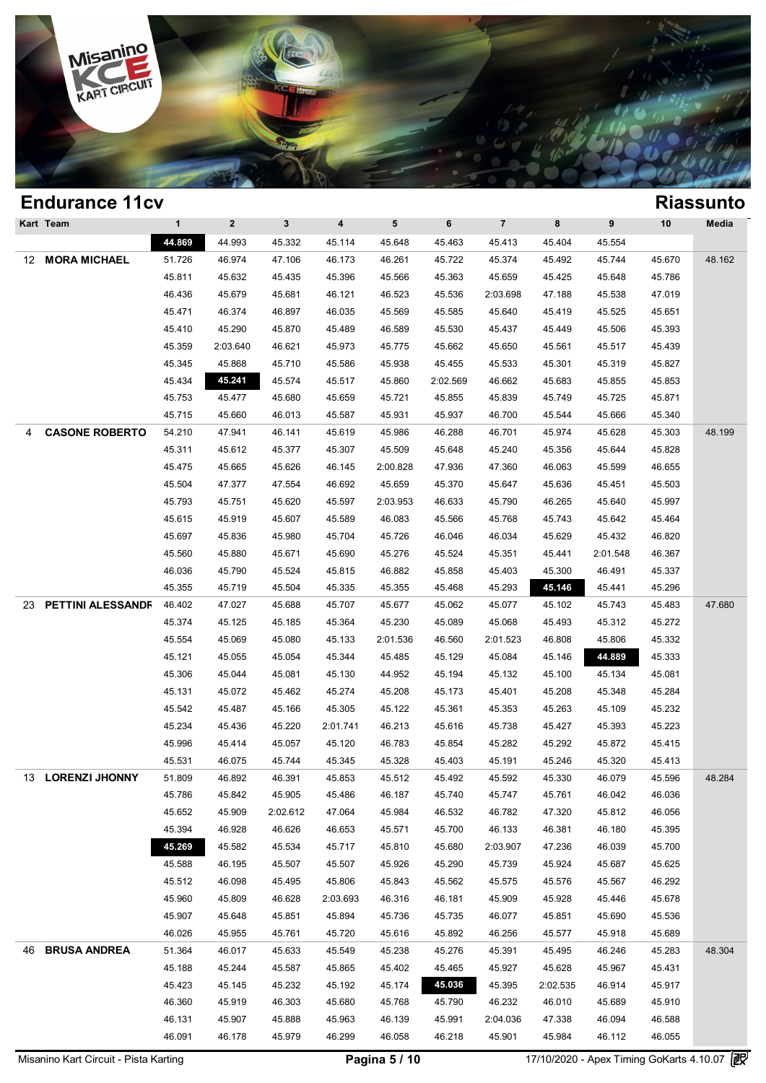

|    | Kart Team             | $\mathbf{1}$ | $\mathbf{2}$ | 3        | 4        | 5        | 6        | $\overline{7}$ | 8        | 9        | 10     | Media  |
|----|-----------------------|--------------|--------------|----------|----------|----------|----------|----------------|----------|----------|--------|--------|
|    |                       | 44.869       | 44.993       | 45.332   | 45.114   | 45.648   | 45.463   | 45.413         | 45.404   | 45.554   |        |        |
| 12 | <b>MORA MICHAEL</b>   | 51.726       | 46.974       | 47.106   | 46.173   | 46.261   | 45.722   | 45.374         | 45.492   | 45.744   | 45.670 | 48.162 |
|    |                       | 45.811       | 45.632       | 45.435   | 45.396   | 45.566   | 45.363   | 45.659         | 45.425   | 45.648   | 45.786 |        |
|    |                       | 46.436       | 45.679       | 45.681   | 46.121   | 46.523   | 45.536   | 2:03.698       | 47.188   | 45.538   | 47.019 |        |
|    |                       | 45.471       | 46.374       | 46.897   | 46.035   | 45.569   | 45.585   | 45.640         | 45.419   | 45.525   | 45.651 |        |
|    |                       | 45.410       | 45.290       | 45.870   | 45.489   | 46.589   | 45.530   | 45.437         | 45.449   | 45.506   | 45.393 |        |
|    |                       | 45.359       | 2:03.640     | 46.621   | 45.973   | 45.775   | 45.662   | 45.650         | 45.561   | 45.517   | 45.439 |        |
|    |                       | 45.345       | 45.868       | 45.710   | 45.586   | 45.938   | 45.455   | 45.533         | 45.301   | 45.319   | 45.827 |        |
|    |                       | 45.434       | 45.241       | 45.574   | 45.517   | 45.860   | 2:02.569 | 46.662         | 45.683   | 45.855   | 45.853 |        |
|    |                       | 45.753       | 45.477       | 45.680   | 45.659   | 45.721   | 45.855   | 45.839         | 45.749   | 45.725   | 45.871 |        |
|    |                       | 45.715       | 45.660       | 46.013   | 45.587   | 45.931   | 45.937   | 46.700         | 45.544   | 45.666   | 45.340 |        |
| 4  | <b>CASONE ROBERTO</b> | 54.210       | 47.941       | 46.141   | 45.619   | 45.986   | 46.288   | 46.701         | 45.974   | 45.628   | 45.303 | 48.199 |
|    |                       | 45.311       | 45.612       | 45.377   | 45.307   | 45.509   | 45.648   | 45.240         | 45.356   | 45.644   | 45.828 |        |
|    |                       | 45.475       | 45.665       | 45.626   | 46.145   | 2:00.828 | 47.936   | 47.360         | 46.063   | 45.599   | 46.655 |        |
|    |                       | 45.504       | 47.377       | 47.554   | 46.692   | 45.659   | 45.370   | 45.647         | 45.636   | 45.451   | 45.503 |        |
|    |                       | 45.793       | 45.751       | 45.620   | 45.597   | 2:03.953 | 46.633   | 45.790         | 46.265   | 45.640   | 45.997 |        |
|    |                       | 45.615       | 45.919       | 45.607   | 45.589   | 46.083   | 45.566   | 45.768         | 45.743   | 45.642   | 45.464 |        |
|    |                       | 45.697       | 45.836       | 45.980   | 45.704   | 45.726   | 46.046   | 46.034         | 45.629   | 45.432   | 46.820 |        |
|    |                       | 45.560       | 45.880       | 45.671   | 45.690   | 45.276   | 45.524   | 45.351         | 45.441   | 2:01.548 | 46.367 |        |
|    |                       | 46.036       | 45.790       | 45.524   | 45.815   | 46.882   | 45.858   | 45.403         | 45.300   | 46.491   | 45.337 |        |
|    |                       | 45.355       | 45.719       | 45.504   | 45.335   | 45.355   | 45.468   | 45.293         | 45.146   | 45.441   | 45.296 |        |
| 23 | PETTINI ALESSANDF     | 46.402       | 47.027       | 45.688   | 45.707   | 45.677   | 45.062   | 45.077         | 45.102   | 45.743   | 45.483 | 47.680 |
|    |                       | 45.374       | 45.125       | 45.185   | 45.364   | 45.230   | 45.089   | 45.068         | 45.493   | 45.312   | 45.272 |        |
|    |                       | 45.554       | 45.069       | 45.080   | 45.133   |          |          | 2:01.523       | 46.808   | 45.806   | 45.332 |        |
|    |                       |              |              |          |          | 2:01.536 | 46.560   |                |          | 44.889   |        |        |
|    |                       | 45.121       | 45.055       | 45.054   | 45.344   | 45.485   | 45.129   | 45.084         | 45.146   |          | 45.333 |        |
|    |                       | 45.306       | 45.044       | 45.081   | 45.130   | 44.952   | 45.194   | 45.132         | 45.100   | 45.134   | 45.081 |        |
|    |                       | 45.131       | 45.072       | 45.462   | 45.274   | 45.208   | 45.173   | 45.401         | 45.208   | 45.348   | 45.284 |        |
|    |                       | 45.542       | 45.487       | 45.166   | 45.305   | 45.122   | 45.361   | 45.353         | 45.263   | 45.109   | 45.232 |        |
|    |                       | 45.234       | 45.436       | 45.220   | 2:01.741 | 46.213   | 45.616   | 45.738         | 45.427   | 45.393   | 45.223 |        |
|    |                       | 45.996       | 45.414       | 45.057   | 45.120   | 46.783   | 45.854   | 45.282         | 45.292   | 45.872   | 45.415 |        |
|    |                       | 45.531       | 46.075       | 45.744   | 45.345   | 45.328   | 45.403   | 45.191         | 45.246   | 45.320   | 45.413 |        |
|    | 13 LORENZI JHONNY     | 51.809       | 46.892       | 46.391   | 45.853   | 45.512   | 45.492   | 45.592         | 45.330   | 46.079   | 45.596 | 48.284 |
|    |                       | 45.786       | 45.842       | 45.905   | 45.486   | 46.187   | 45.740   | 45.747         | 45.761   | 46.042   | 46.036 |        |
|    |                       | 45.652       | 45.909       | 2:02.612 | 47.064   | 45.984   | 46.532   | 46.782         | 47.320   | 45.812   | 46.056 |        |
|    |                       | 45.394       | 46.928       | 46.626   | 46.653   | 45.571   | 45.700   | 46.133         | 46.381   | 46.180   | 45.395 |        |
|    |                       | 45.269       | 45.582       | 45.534   | 45.717   | 45.810   | 45.680   | 2:03.907       | 47.236   | 46.039   | 45.700 |        |
|    |                       | 45.588       | 46.195       | 45.507   | 45.507   | 45.926   | 45.290   | 45.739         | 45.924   | 45.687   | 45.625 |        |
|    |                       | 45.512       | 46.098       | 45.495   | 45.806   | 45.843   | 45.562   | 45.575         | 45.576   | 45.567   | 46.292 |        |
|    |                       | 45.960       | 45.809       | 46.628   | 2:03.693 | 46.316   | 46.181   | 45.909         | 45.928   | 45.446   | 45.678 |        |
|    |                       | 45.907       | 45.648       | 45.851   | 45.894   | 45.736   | 45.735   | 46.077         | 45.851   | 45.690   | 45.536 |        |
|    |                       | 46.026       | 45.955       | 45.761   | 45.720   | 45.616   | 45.892   | 46.256         | 45.577   | 45.918   | 45.689 |        |
| 46 | <b>BRUSA ANDREA</b>   | 51.364       | 46.017       | 45.633   | 45.549   | 45.238   | 45.276   | 45.391         | 45.495   | 46.246   | 45.283 | 48.304 |
|    |                       | 45.188       | 45.244       | 45.587   | 45.865   | 45.402   | 45.465   | 45.927         | 45.628   | 45.967   | 45.431 |        |
|    |                       | 45.423       | 45.145       | 45.232   | 45.192   | 45.174   | 45.036   | 45.395         | 2:02.535 | 46.914   | 45.917 |        |
|    |                       | 46.360       | 45.919       | 46.303   | 45.680   | 45.768   | 45.790   | 46.232         | 46.010   | 45.689   | 45.910 |        |
|    |                       | 46.131       | 45.907       | 45.888   | 45.963   | 46.139   | 45.991   | 2:04.036       | 47.338   | 46.094   | 46.588 |        |
|    |                       | 46.091       | 46.178       | 45.979   | 46.299   | 46.058   | 46.218   | 45.901         | 45.984   | 46.112   | 46.055 |        |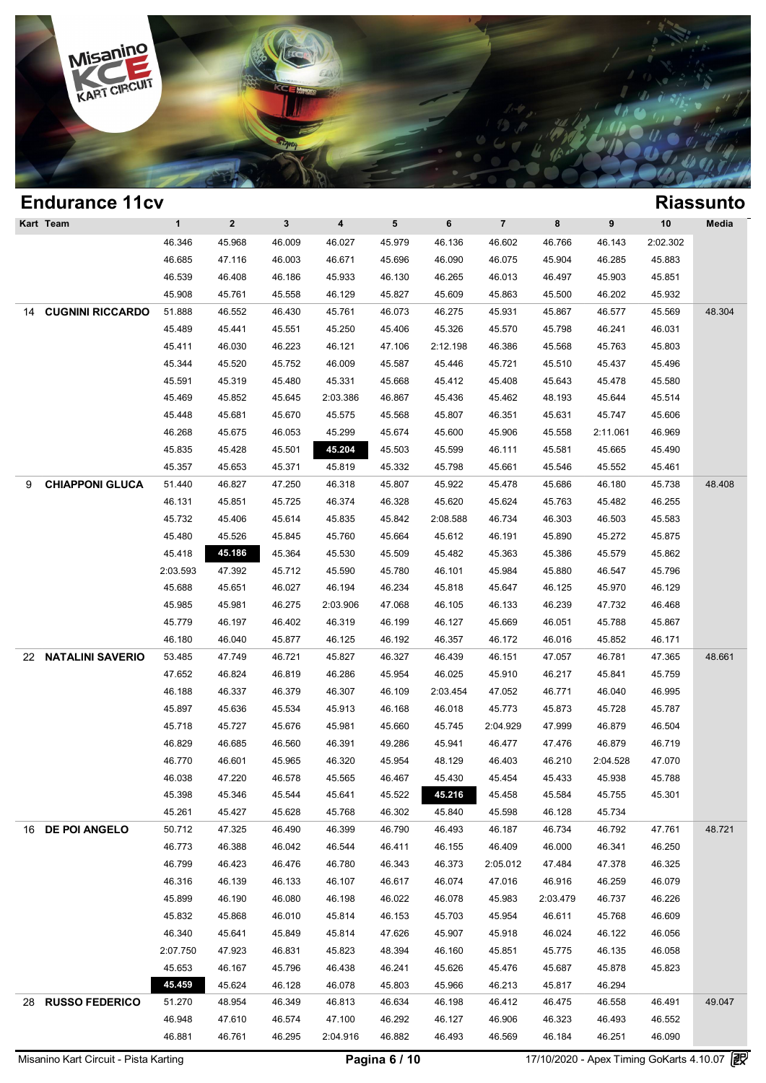

### **Endurance 11cv Riassunto Kart Team 1 2 3 4 5 6 7 8 9 10 Media** 1 2 3 4 5 6 7 8 9 10<br>46.346 45.968 46.009 46.027 45.979 46.136 46.602 46.766 46.143 2:02.302 46.685 47.116 46.003 46.671 45.696 46.090 46.075 45.904 46.285 45.883 46.539 46.408 46.186 45.933 46.130 46.265 46.013 46.497 45.903 45.851 45.908 45.761 45.558 46.129 45.827 45.609 45.863 45.500 46.202 45.932 14 **CUGNINI RICCARDO** 51.888 46.552 46.430 45.761 46.073 46.275 45.931 45.867 46.577 45.569 48.304 45.489 45.441 45.551 45.250 45.406 45.326 45.570 45.798 46.241 46.031 45.489 45.441 45.551 45.250 45.406 45.326 45.570 45.798 46.241 46.031<br>45.411 46.030 46.223 46.121 47.106 2:12.198 46.386 45.568 45.763 45.803 45.344 45.520 45.752 46.009 45.587 45.446 45.721 45.510 45.437 45.496 45.344 45.520 45.752 46.009 45.446 45.721 45.510 45.437 45.496<br>45.591 45.319 45.480 45.331 45.668 45.412 45.648 45.469 45.852 45.645 2:03.386 46.867 45.436 45.462 48.193 45.644 45.514 45.469 45.852 45.645 2:03.386 46.867 45.436 45.462 48.193 45.644 45.514<br>45.448 45.681 45.670 45.575 45.568 45.807 46.351 45.631 45.747 45.606 45.448 45.681 45.670 45.575 45.568 45.807 46.351 45.631 45.747 45.606<br>46.268 45.675 46.053 45.299 45.674 45.600 45.906 45.558 2:11.061 46.969 45.835 45.428 45.501 **45.204** 45.503 45.599 46.111 45.581 45.665 45.490 45.835 45.428 45.501 45.204 45.503 45.599 46.111 45.581 45.665 45.490<br>45.357 45.653 45.371 45.819 45.332 45.798 45.661 45.546 45.552 45.461 9 **CHIAPPONI GLUCA** 51.440 46.827 47.250 46.318 45.807 45.922 45.478 45.686 46.180 45.738 48.408 46.131 45.851 45.725 46.374 46.328 45.620 45.624 45.763 45.482 46.255 46.131 45.851 45.725 46.374 46.328 45.620 45.624 45.763 45.482 46.255<br>45.732 45.406 45.614 45.835 45.842 2:08.588 46.734 46.303 46.503 45.583 45.732 45.406 45.614 45.835 45.842 2:08.588 46.734 46.303 46.503 45.583<br>45.480 45.526 45.845 45.760 45.664 45.612 46.191 45.890 45.272 45.875 45.418 **45.186** 45.364 45.530 45.509 45.482 45.363 45.386 45.579 45.862 2:03.593 47.392 45.712 45.590 45.780 46.101 45.984 45.880 46.547 45.796 03.593 47.392 45.712 45.590 45.780 46.101 45.984 45.880 46.547 45.796<br>45.688 45.651 46.027 46.194 46.234 45.818 45.647 46.125 45.970 46.129 45.688 45.651 46.027 46.194 46.234 45.818 45.647 46.125 45.970 46.129<br>45.985 45.981 46.275 2:03.906 47.068 46.105 46.133 46.239 47.732 46.468 45.985 45.981 46.275 2:03.906 47.068 46.105 46.133 46.239 47.732 46.468<br>45.779 46.197 46.402 46.319 46.199 46.127 46.180 46.040 45.877 46.125 46.192 46.357 46.172 46.016 45.852 46.171 22 **NATALINI SAVERIO** 53.485 47.749 46.721 45.827 46.327 46.439 46.151 47.057 46.781 47.365 48.661 47.652 46.824 46.819 46.286 45.954 46.025 45.910 46.217 45.841 45.759 47.652 46.824 46.819 46.286 45.954 46.025 45.910 46.217 45.841 45.759<br>46.188 46.337 46.379 46.307 46.109 2:03.454 47.052 46.771 46.040 46.995 46.188 46.337 46.379 46.307 46.109 2:03.454 47.052 46.771 46.040 46.995<br>45.897 45.636 45.534 45.913 46.168 46.018 45.773 45.873 45.728 45.787 45.718 45.727 45.676 45.981 45.660 45.745 2:04.929 47.999 46.879 46.504 45.718 45.727 45.676 45.981 45.660 45.745 2:04.929 47.999 46.879 46.504<br>46.829 46.685 46.560 46.391 49.286 45.941 46.477 47.476 46.879 46.719 46.829 46.685 46.560 46.391 49.286 45.941 46.477 47.476 46.879 46.719<br>46.770 46.601 45.965 46.320 45.954 48.129 46.403 46.210 2:04.528 47.070 46.770 46.601 45.965 46.320 45.954 48.129 46.403 46.210 2:04.528 47.070<br>46.038 47.220 46.578 45.565 46.467 45.430 45.454 45.433 45.938 45.788 45.398 45.346 45.544 45.641 45.522 **45.216** 45.458 45.584 45.755 45.301 45.398 45.346 45.544 45.641 45.522 <mark>45.216</mark> 45.458 45.584 45.755<br>45.261 45.427 45.628 45.768 46.302 45.840 45.598 46.128 45.734 16 **DE POI ANGELO** 50.712 47.325 46.490 46.399 46.790 46.493 46.187 46.734 46.792 47.761 48.721 46.773 46.388 46.042 46.544 46.411 46.155 46.409 46.000 46.341 46.250 46.773 46.388 46.042 46.544 46.411 46.155 46.409 46.000 46.341 46.250<br>46.799 46.423 46.476 46.780 46.343 46.373 2:05.012 47.484 47.378 46.325 46.799 46.423 46.476 46.780 46.343 46.373 2:05.012 47.484 47.378 46.325<br>46.316 46.139 46.133 46.107 46.617 46.074 47.016 46.916 46.259 46.079 45.899 46.190 46.080 46.198 46.022 46.078 45.983 2:03.479 46.737 46.226 45.899 46.190 46.080 46.198 46.022 46.078 45.983 2:03.479 46.737 46.226<br>45.832 45.868 46.010 45.814 46.153 45.703 45.954 46.611 45.768 46.609 45.832 45.868 46.010 45.814 46.153 45.703 45.954 46.611 45.768 46.609<br>46.340 45.641 45.849 45.814 47.626 45.907 45.918 46.024 46.122 46.056 2:07.750 47.923 46.831 45.823 48.394 46.160 45.851 45.775 46.135 46.058 07.750 47.923 46.831 45.823 48.394 46.160 45.851 45.775 46.135 46.058<br>45.653 46.167 45.796 46.438 46.241 45.626 45.476 45.687 45.878 45.823 **45.459** 45.624 46.128 46.078 45.803 45.966 46.213 45.817 46.294 28 **RUSSO FEDERICO** 51.270 48.954 46.349 46.813 46.634 46.198 46.412 46.475 46.558 46.491 49.047 46.948 47.610 46.574 47.100 46.292 46.127 46.906 46.323 46.493 46.552 46.948 47.610 46.574 47.100 46.292 46.127 46.906 46.323 46.493 46.552<br>46.881 46.761 46.295 2:04.916 46.882 46.493 46.569 46.184 46.251 46.090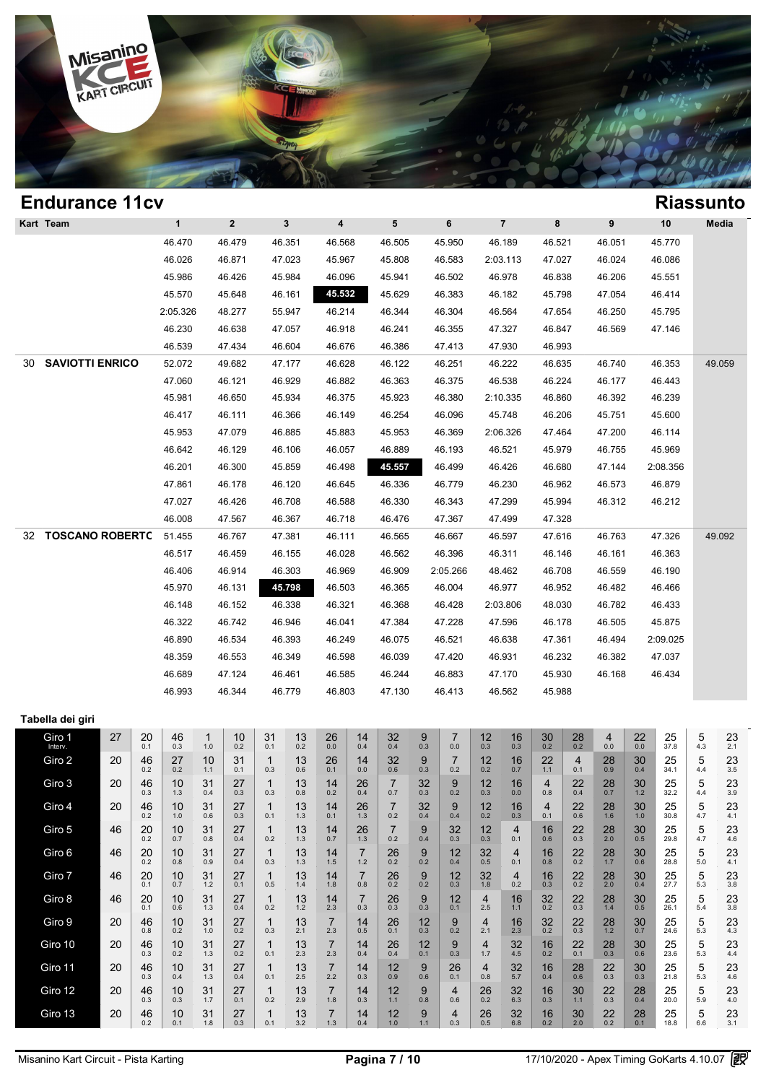

### **Endurance 11cv Riassunto Kart Team 1 2 3 4 5 6 7 8 9 10 Media** 1 2 3 4 5 6 7 8 9 10<br>46.470 46.479 46.351 46.568 46.505 45.950 46.189 46.521 46.051 45.770 46.470 46.479 46.351 46.568 46.505 45.950 46.189 46.521 46.051 45.770<br>46.026 46.871 47.023 45.967 45.808 46.583 2:03.113 47.027 46.024 46.086 46.026 46.871 47.023 45.967 45.808 46.583 2:03.113 47.027 46.024 46.086<br>45.986 46.426 45.984 46.096 45.941 46.502 46.978 46.838 46.206 45.551 45.570 45.648 46.161 **45.532** 45.629 46.383 46.182 45.798 47.054 46.414 45.570 45.648 46.161 45.532 45.629 46.383 46.182 45.798 47.054 46.414<br>2:05.326 48.277 55.947 46.214 46.344 46.304 46.564 47.654 46.250 45.795 05.326 48.277 55.947 46.214 46.344 46.304 46.564 47.654 46.250 45.795<br>46.230 46.638 47.057 46.918 46.241 46.355 47.327 46.847 46.569 47.146 46.539 47.434 46.604 46.676 46.386 47.413 47.930 46.993 30 **SAVIOTTI ENRICO** 52.072 49.682 47.177 46.628 46.122 46.251 46.222 46.635 46.740 46.353 49.059 47.060 46.121 46.929 46.882 46.363 46.375 46.538 46.224 46.177 46.443 45.981 46.650 45.934 46.375 45.923 46.380 2:10.335 46.860 46.392 46.239 45.981 46.650 45.934 46.375 45.923 46.380 2:10.335 46.860 46.392 46.239<br>46.417 46.111 46.366 46.149 46.254 46.096 45.748 46.206 45.751 45.600 45.953 47.079 46.885 45.883 45.953 46.369 2:06.326 47.464 47.200 46.114 45.953 47.079 46.885 45.883 45.953 46.369 2:06.326 47.464 47.200 46.114<br>46.642 46.129 46.106 46.057 <u>46.889 46.193</u> 46.521 45.979 46.755 45.969 46.201 46.300 45.859 46.498 **45.557** 46.499 46.426 46.680 47.144 2:08.356 46.201 46.300 45.859 46.498 45.557 46.499 46.426 46.680 47.144 2:08.356<br>47.861 46.178 46.120 46.645 46.336 46.779 46.230 46.962 46.573 46.879 47.861 46.178 46.120 46.645 46.336 46.779 46.230 46.962 46.573 46.879<br>47.027 46.426 46.708 46.588 46.330 46.343 47.299 45.994 46.312 46.212 46.008 47.567 46.367 46.718 46.476 47.367 47.499 47.328 32 **TOSCANO ROBERTO** 51.455 46.767 47.381 46.111 46.565 46.667 46.597 47.616 46.763 47.326 49.092 46.517 46.459 46.155 46.028 46.562 46.396 46.311 46.146 46.161 46.363 46.517 46.459 46.155 46.028 46.562 46.396 46.311 46.146 46.161 46.363<br>46.406 46.914 <u>46.303</u> 46.969 46.909 2:05.266 48.462 46.708 46.559 46.190 45.970 46.131 **45.798** 46.503 46.365 46.004 46.977 46.952 46.482 46.466 45.970 46.131 45.798 46.503 46.365 46.004 46.977 46.952 46.482 46.466<br>46.148 46.152 46.338 46.321 46.368 46.428 2:03.806 48.030 46.782 46.433 46.148 46.152 46.338 46.321 46.368 46.428 2:03.806 48.030 46.782 46.433<br>46.322 46.742 46.946 46.041 47.384 47.228 47.596 46.178 46.505 45.875 46.890 46.534 46.393 46.249 46.075 46.521 46.638 47.361 46.494 2:09.025 48.359 46.553 46.349 46.598 46.039 47.420 46.931 46.232 46.382 47.037 46.689 47.124 46.461 46.585 46.244 46.883 47.170 45.930 46.168 46.434 46.993 46.344 46.779 46.803 47.130 46.413 46.562 45.988 **Tabella dei giri**  $\begin{array}{|c|c|c|c|}\n\hline\n\text{Biro 1} & 27 & 20 \\
\text{Interv.} & 21 & 20 \\
\hline\n\end{array}$  $\begin{array}{c|c} 20 & 46 \\ 0.1 & 0.3 \end{array}$  $1.0 1.0$  $10^{0.2}$  $31$ <sub>0.1</sub>  $13<sub>0.2</sub>$  $26_{0.0}$  $14^{0.4}$  $32<sub>0.4</sub>$  $\begin{array}{c|c|c|c|c} 32 & 9 & 7 & 7 & 0.3 & 0.0 & 0.0 \end{array}$  $\begin{array}{c|c} 7 & 12 \\ 0.0 & 0.3 \end{array}$  $16$ <sub>0.3</sub>  $30<sub>0.2</sub>$  $28<sub>0.2</sub>$  $^{4}_{0.0}$  $^{22}_{0.0}$  $\begin{array}{c|c|c|c}\n 22 & 25 & 5 \\
 \hline\n 0.0 & 37.8 & 4.3\n \end{array}$  $\begin{array}{c|c} 5 & 23 \\ 4.3 & 2.1 \end{array}$ Giro 2  $\begin{array}{|c|c|c|c|c|} \hline 20 & 46 \ 0.2 & \hline \end{array}$  $27_{0.2}$  $10^{10}_{1.1}$  $31$ <br>0.1  $1 0.3$  $13<sub>0.6</sub>$  $26$ <sub>0.1</sub>  $14 \n0.0$  $32<sub>0.6</sub>$  $\frac{9}{0.3}$  $7 \n0.2$  $12<sub>0.2</sub>$  $16$ <sub>0.7</sub>  $\begin{array}{c|c|c|c}\n 16 & 22 & 4 \\
 \hline\n 0.7 & 1.1 & 0.1\n \end{array}$  $\begin{array}{c|c} 4 & 28 \\ 0.1 & 0.9 \end{array}$  $30<sub>0.4</sub>$  $\begin{array}{|c|c|c|c|c|}\n 30 & 25 & 5 \\
 \hline\n 0.4 & 34.1 & 4.4\n \end{array}$  $\begin{array}{c|c} 5 & 23 \\ 4.4 & 3.5 \end{array}$ Giro 3 20 46  $\begin{array}{c|c} 46 & 10 \\ 0.3 & 1.3 \end{array}$  $\begin{array}{|c|c|c|c|}\n 1.3 & 31 \\
 - & 0.4 & \end{array}$  $\begin{array}{|c|c|c|}\hline 31 & 27 \ 0.4 & 0.3 \ \hline \end{array}$  $\begin{array}{ccc} 27 & 1 \\ 0.3 & 0.3 \end{array}$  $\begin{array}{c|c} 1 & 13 \\ 0.3 & 0.8 \end{array}$  $\begin{array}{c|c} 13 & 14 \\ 0.8 & 0.2 \end{array}$  $\begin{array}{c|c} 14 & 26 \\ 0.2 & 0.4 \end{array}$  $26 \begin{array}{|c|c|} 7 \ \hline 0.4 & 0.7 \end{array}$  $\begin{array}{c|c} 7 & 32 \\ 0.7 & 0.3 \end{array}$  $\begin{array}{c|c} 32 & 9 \\ 0.3 & 0.2 \end{array}$  $\begin{array}{c|c} 9 & 12 \\ 0.2 & 0.3 \end{array}$  $\begin{array}{c|c} 12 & 16 \\ 0.3 & 0.0 \end{array}$  $\begin{array}{c|c|c|c}\n 16 & 4 \\
 \hline\n 0.0 & 0.8\n \end{array}$  $\begin{array}{c|c} 4 & 22 \\ 0.8 & 0.4 \end{array}$  $\begin{array}{|c|c|c|}\n 22 & 28 \\
 \hline\n 0.4 & 0.7\n \end{array}$  $\begin{array}{|c|c|c|} \hline 28 & 30 \\ 0.7 & 1.2 \end{array}$  $\begin{array}{|c|c|c|}\n 30 & 25 \\
 \hline\n 1.2 & 32.2\n \end{array}$  $\begin{array}{c|c|c|c} 25 & 5 \\ 32.2 & 4.4 \end{array}$  $\begin{array}{c|c} 5 & 23 \\ 4.4 & 3.9 \end{array}$ Giro 4 20 46 46 | 10 |<br><sub>0.2</sub> | 1.0 |  $\begin{array}{|c|c|c|} \hline 10 & 31 & \ \hline 1.0 & 0.6 & \ \hline \end{array}$  $\begin{array}{|c|c|c|}\hline 31 & 27 \ 0.6 & 0.3 \ \hline \end{array}$ 0.3 <sup>1</sup>  $\begin{array}{|c|c|c|c|}\n1 & 13 \\
0.1 & 1.3\n\end{array}$  $\begin{array}{|c|c|c|c|}\n 1.3 & 1.4 \\
 \hline\n 1.3 & 0.1\n \end{array}$  $\begin{array}{|c|c|c|}\n 14 & 26 \\
 \hline\n 0.1 & 1.3\n \end{array}$  $26$   $7$   $0.2$  $\begin{array}{c|c} 7 & 32 \\ 0.2 & 0.4 \end{array}$  $\begin{array}{|c|c|c|c|}\n 32 & 9 & 0.4 & \n \hline\n 0.4 & 0.4 & \n \end{array}$  $\begin{array}{c|c} 9 & 12 \\ 0.4 & 0.2 \end{array}$  $\begin{array}{c|c} 12 & 16 \\ 0.2 & 0.3 \end{array}$  $\begin{array}{|c|c|c|c|}\n 16 & 4 \\
 \hline\n 0.3 & 0.1\n \end{array}$  $\begin{array}{c|c} 4 & 22 \\ 0.1 & 0.6 \end{array}$  $\begin{array}{c|c} 22 & 28 \\ 0.6 & 1.6 \end{array}$  $28$  30<br>1.6 1.0  $\begin{array}{c|c} 30 & 25 \\ 1.0 & 30.8 \end{array}$  $\begin{array}{c|c|c|c} 25 & 5 \\ 30.8 & 4.7 \end{array}$

| Giro 3  | ΖU | 46<br>0.3 | 1υ<br>1.3 | 31<br>0.4 | 21<br>0.3 | 0.3 | 13<br>0.8 | 14<br>0.2 | 26<br>0.4 | 0.7                   | 32<br>0.3 | y<br>0.2  | 12<br>0.3 | 16<br>0.0 | 4<br>0.8  | 22<br>0.4 | 28<br>0.7 | <b>30</b><br>1.2 | 25<br>32.2 | 5<br>4.4 | 23<br>3.9 |  |
|---------|----|-----------|-----------|-----------|-----------|-----|-----------|-----------|-----------|-----------------------|-----------|-----------|-----------|-----------|-----------|-----------|-----------|------------------|------------|----------|-----------|--|
| Giro 4  | 20 | 46<br>0.2 | 10<br>1.0 | 31<br>0.6 | 27<br>0.3 | 0.1 | 13<br>1.3 | 14<br>0.1 | 26<br>1.3 | $\overline{7}$<br>0.2 | 32<br>0.4 | 9<br>0.4  | 12<br>0.2 | 16<br>0.3 | 4<br>0.1  | 22<br>0.6 | 28<br>1.6 | 30<br>1.0        | 25<br>30.8 | 5<br>4.7 | 23<br>4.1 |  |
| Giro 5  | 46 | 20<br>0.2 | 10<br>0.7 | 31<br>0.8 | 27<br>0.4 | 0.2 | 13<br>1.3 | 14<br>0.7 | 26<br>1.3 | 7<br>0.2              | 9<br>0.4  | 32<br>0.3 | 12<br>0.3 | 4<br>0.1  | 16<br>0.6 | 22<br>0.3 | 28<br>2.0 | 30<br>0.5        | 25<br>29.8 | 5<br>4.7 | 23<br>4.6 |  |
| Giro 6  | 46 | 20<br>0.2 | 10<br>0.8 | 31<br>0.9 | 27<br>0.4 | 0.3 | 13<br>1.3 | 14<br>1.5 | 1.2       | 26<br>0.2             | 9<br>0.2  | 12<br>0.4 | 32<br>0.5 | 4<br>0.1  | 16<br>0.8 | 22<br>0.2 | 28<br>1.7 | 30<br>0.6        | 25<br>28.8 | 5<br>5.0 | 23<br>4.1 |  |
| Giro 7  | 46 | 20<br>0.1 | 10<br>0.7 | 31<br>1.2 | 27<br>0.1 | 0.5 | 13<br>1.4 | 14<br>1.8 | 0.8       | 26<br>0.2             | 9<br>0.2  | 12<br>0.3 | 32<br>1.8 | 4<br>0.2  | 16<br>0.3 | 22<br>0.2 | 28<br>2.0 | 30<br>0.4        | 25<br>27.7 | 5<br>5.3 | 23<br>3.8 |  |
| Giro 8  | 46 | 20<br>0.1 | 10<br>0.6 | 31<br>1.3 | 27<br>0.4 | 0.2 | 13<br>1.2 | 14<br>2.3 | 0.3       | 26<br>0.3             | 9<br>0.3  | 12<br>0.1 | 4<br>2.5  | 16<br>1.1 | 32<br>0.2 | 22<br>0.3 | 28<br>1.4 | 30<br>0.5        | 25<br>26.1 | 5<br>5.4 | 23<br>3.8 |  |
| Giro 9  | 20 | 46<br>0.8 | 10<br>0.2 | 31<br>1.0 | 27<br>0.2 | 0.3 | 13<br>2.1 | 2.3       | 14<br>0.5 | 26<br>0.1             | 12<br>0.3 | 9<br>0.2  | 4<br>2.1  | 16<br>2.3 | 32<br>0.2 | 22<br>0.3 | 28<br>1.2 | 30<br>0.7        | 25<br>24.6 | 5<br>5.3 | 23<br>4.3 |  |
| Giro 10 | 20 | 46<br>0.3 | 10<br>0.2 | 31<br>1.3 | 27<br>0.2 | 0.1 | 13<br>2.3 | 2.3       | 14<br>0.4 | 26<br>0.4             | 12<br>0.1 | 9<br>0.3  | 4<br>1.7  | 32<br>4.5 | 16<br>0.2 | 22<br>0.1 | 28<br>0.3 | 30<br>0.6        | 25<br>23.6 | 5<br>5.3 | 23<br>4.4 |  |
| Giro 11 | 20 | 46<br>0.3 | 10<br>0.4 | 31<br>1.3 | 27<br>0.4 | 0.1 | 13<br>2.5 | 2.2       | 14<br>0.3 | 12<br>0.9             | 9<br>0.6  | 26<br>0.1 | 4<br>0.8  | 32<br>5.7 | 16<br>0.4 | 28<br>0.6 | 22<br>0.3 | 30<br>0.3        | 25<br>21.8 | 5<br>5.3 | 23<br>4.6 |  |
| Giro 12 | 20 | 46<br>0.3 | 10<br>0.3 | 31<br>1.7 | 27<br>0.1 | 0.2 | 13<br>2.9 | 1.8       | 14<br>0.3 | 12<br>1.1             | 9<br>0.8  | 4<br>0.6  | 26<br>0.2 | 32<br>6.3 | 16<br>0.3 | 30<br>1.1 | 22<br>0.3 | 28<br>0.4        | 25<br>20.0 | 5<br>5.9 | 23<br>4.0 |  |
| Giro 13 | 20 | 46<br>0.2 | 10<br>0.1 | 31<br>1.8 | 27<br>0.3 | 0.1 | 13<br>3.2 | 1.3       | 14<br>0.4 | 12<br>1.0             | 9<br>1.1  | 4<br>0.3  | 26<br>0.5 | 32<br>6.8 | 16<br>0.2 | 30<br>2.0 | 22<br>0.2 | 28<br>0.1        | 25<br>18.8 | 5<br>6.6 | 23<br>3.1 |  |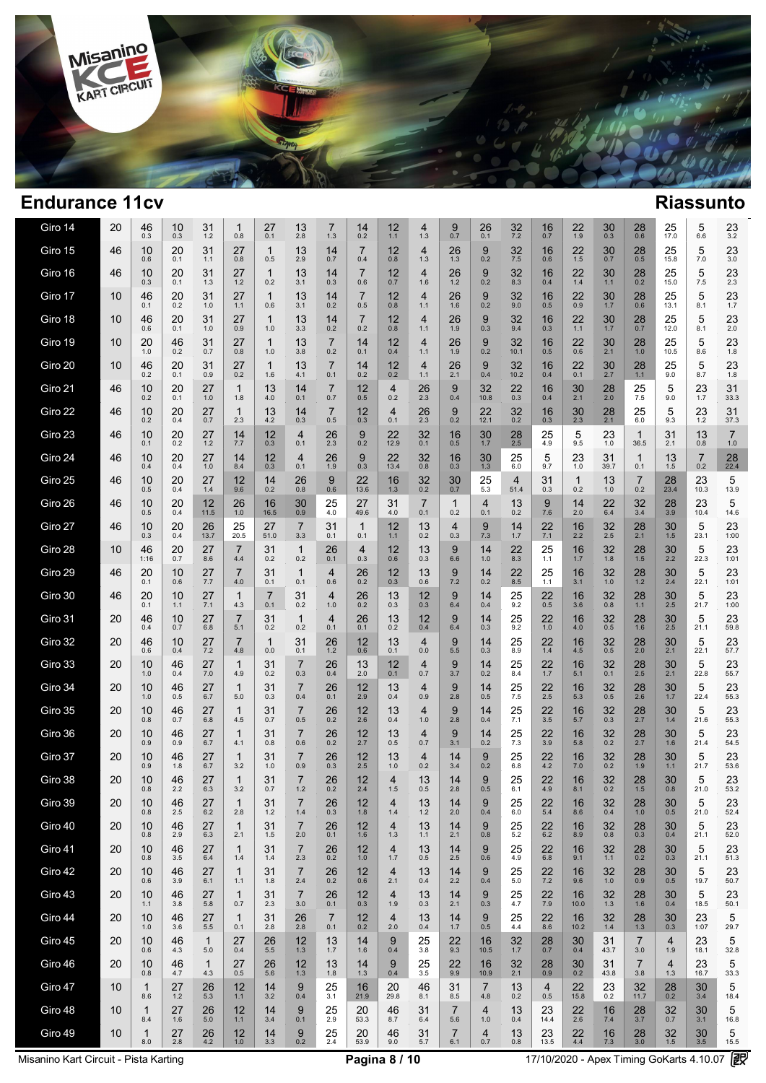

| Giro 14 | 20 | 46<br>0.3           | 10<br>0.3 | 31<br>$1.2$         | 1<br>0.8              | 27<br>0.1           | 13<br>2.8             | 7<br>1.3              | 14<br>0.2             | 12<br>$1.1$ | 4<br>1.3              | 9<br>0.7              | 26<br>0.1             | 32<br>7.2              | 16<br>0.7   | 22<br>1.9           | 30<br>0.3   | 28<br>0.6             | 25<br>17.0  | 5<br>6.6              | 23<br>3.2             |
|---------|----|---------------------|-----------|---------------------|-----------------------|---------------------|-----------------------|-----------------------|-----------------------|-------------|-----------------------|-----------------------|-----------------------|------------------------|-------------|---------------------|-------------|-----------------------|-------------|-----------------------|-----------------------|
| Giro 15 | 46 | 10<br>0.6           | 20<br>0.1 | 31<br>1.1           | 27<br>0.8             | 1<br>0.5            | 13<br>2.9             | 14<br>0.7             | $\overline{7}$<br>0.4 | 12<br>0.8   | 4<br>1.3              | 26<br>1.3             | 9<br>0.2              | 32<br>7.5              | 16<br>0.6   | 22<br>$1.5$         | 30<br>0.7   | 28<br>0.5             | 25<br>15.8  | 5<br>7.0              | 23<br>3.0             |
| Giro 16 | 46 | 10<br>0.3           | 20<br>0.1 | 31<br>1.3           | 27<br>1.2             | $\mathbf{1}$<br>0.2 | 13<br>3.1             | 14<br>0.3             | $\overline{7}$<br>0.6 | 12<br>0.7   | 4<br>1.6              | 26<br>1.2             | 9<br>0.2              | 32<br>8.3              | 16<br>0.4   | 22<br>$1.4$         | 30<br>$1.1$ | 28<br>0.2             | 25<br>15.0  | 5<br>7.5              | 23<br>2.3             |
| Giro 17 | 10 | 46<br>0.1           | 20<br>0.2 | 31<br>1.0           | 27<br>1.1             | 1<br>0.6            | 13<br>3.1             | 14<br>0.2             | $\overline{7}$<br>0.5 | 12<br>0.8   | 4<br>1.1              | 26<br>1.6             | 9<br>0.2              | 32<br>9.0              | 16<br>0.5   | 22<br>0.9           | 30<br>1.7   | 28<br>0.6             | 25<br>13.1  | 5<br>8.1              | 23<br>1.7             |
| Giro 18 | 10 | 46<br>0.6           | 20<br>0.1 | 31<br>1.0           | 27<br>0.9             | 1<br>1.0            | 13<br>3.3             | 14<br>0.2             | $\overline{7}$<br>0.2 | 12<br>0.8   | 4<br>1.1              | 26<br>1.9             | 9<br>0.3              | 32<br>9.4              | 16<br>0.3   | 22<br>1.1           | 30<br>1.7   | 28<br>0.7             | 25<br>12.0  | 5<br>8.1              | 23<br>2.0             |
| Giro 19 | 10 | 20<br>1.0           | 46<br>0.2 | 31<br>0.7           | 27<br>0.8             | 1<br>1.0            | 13<br>3.8             | $\overline{7}$<br>0.2 | 14<br>0.1             | 12<br>0.4   | 4<br>1.1              | 26<br>1.9             | 9<br>0.2              | 32<br>10.1             | 16<br>0.5   | 22<br>0.6           | 30<br>2.1   | 28<br>1.0             | 25<br>10.5  | 5<br>8.6              | 23<br>1.8             |
| Giro 20 | 10 | 46<br>0.2           | 20<br>0.1 | 31<br>0.9           | 27<br>0.2             | 1<br>1.6            | 13<br>4.1             | $\overline{7}$<br>0.1 | 14<br>0.2             | 12<br>0.2   | 4<br>1.1              | 26<br>2.1             | 9<br>0.4              | 32<br>10.2             | 16<br>0.4   | 22<br>0.1           | 30<br>2.7   | 28<br>$1.1$           | 25<br>9.0   | 5<br>8.7              | 23<br>1.8             |
| Giro 21 | 46 | 10<br>0.2           | 20<br>0.1 | 27<br>1.0           | $\mathbf{1}$<br>1.8   | 13<br>4.0           | 14<br>0.1             | $\overline{7}$<br>0.7 | 12<br>0.5             | 4<br>0.2    | 26<br>2.3             | 9<br>0.4              | 32<br>10.8            | 22<br>0.3              | 16<br>0.4   | 30<br>2.1           | 28<br>2.0   | 25<br>7.5             | 5<br>9.0    | 23<br>1.7             | 31<br>33.3            |
| Giro 22 | 46 | 10<br>0.2           | 20<br>0.4 | 27<br>0.7           | $\mathbf{1}$<br>2.3   | 13<br>4.2           | 14<br>0.3             | $\overline{7}$<br>0.5 | 12<br>0.3             | 4<br>0.1    | 26<br>2.3             | 9<br>0.2              | 22<br>12.1            | 32<br>0.2              | 16<br>0.3   | 30<br>2.3           | 28<br>2.1   | 25<br>6.0             | 5<br>9.3    | 23<br>1.2             | 31<br>37.3            |
| Giro 23 | 46 | 10<br>0.1           | 20<br>0.2 | 27<br>1.2           | 14<br>7.7             | 12<br>0.3           | 4<br>0.1              | 26<br>2.3             | 9<br>0.2              | 22<br>12.9  | 32<br>0.1             | 16<br>0.5             | 30<br>1.7             | 28<br>2.5              | 25<br>4.9   | 5<br>9.5            | 23<br>1.0   | 1<br>36.5             | 31<br>2.1   | 13<br>0.8             | $\overline{7}$<br>1.0 |
| Giro 24 | 46 | 10<br>0.4           | 20<br>0.4 | 27<br>1.0           | 14<br>8.4             | 12<br>0.3           | $\overline{4}$<br>0.1 | 26<br>1.9             | 9<br>0.3              | 22<br>13.4  | 32<br>0.8             | 16<br>0.3             | 30<br>1.3             | 25<br>6.0              | 5<br>9.7    | 23<br>1.0           | 31<br>39.7  | $\mathbf{1}$<br>0.1   | 13<br>1.5   | $\overline{7}$<br>0.2 | 28<br>22.4            |
| Giro 25 | 46 | 10<br>0.5           | 20<br>0.4 | 27<br>1.4           | 12<br>9.6             | 14<br>0.2           | 26<br>0.8             | 9<br>0.6              | 22<br>13.6            | 16<br>1.3   | 32<br>0.2             | 30<br>0.7             | 25<br>5.3             | $\overline{4}$<br>51.4 | 31<br>0.3   | $\mathbf{1}$<br>0.2 | 13<br>1.0   | 7<br>0.2              | 28<br>23.4  | 23<br>10.3            | 5<br>13.9             |
| Giro 26 | 46 | 10<br>0.5           | 20<br>0.4 | 12<br>11.5          | 26<br>1.0             | 16<br>16.5          | 30<br>0.9             | 25<br>4.0             | 27<br>49.6            | 31<br>4.0   | $\overline{7}$<br>0.1 | 1<br>0.2              | 4<br>0.1              | 13<br>0.2              | 9<br>7.6    | 14<br>2.0           | 22<br>6.4   | 32<br>3.4             | 28<br>3.9   | 23<br>10.4            | 5<br>14.6             |
| Giro 27 | 46 | 10<br>0.3           | 20<br>0.4 | 26<br>13.7          | 25<br>20.5            | 27<br>51.0          | $\overline{7}$<br>3.3 | 31<br>0.1             | $\mathbf{1}$<br>0.1   | 12<br>1.1   | 13<br>0.2             | 4<br>0.3              | 9<br>7.3              | 14<br>1.7              | 22<br>7.1   | 16<br>2.2           | 32<br>2.5   | 28<br>2.1             | 30<br>1.5   | 5<br>23.1             | 23<br>1:00            |
| Giro 28 | 10 | 46<br>1:16          | 20<br>0.7 | 27<br>8.6           | $\overline{7}$<br>4.4 | 31<br>0.2           | $\mathbf{1}$<br>0.2   | 26<br>0.1             | 4<br>0.3              | 12<br>0.6   | 13<br>0.3             | 9<br>6.6              | 14<br>1.0             | 22<br>8.3              | 25<br>1.1   | 16<br>1.7           | 32<br>1.8   | 28<br>1.5             | 30<br>2.2   | 5<br>22.3             | 23<br>1:01            |
| Giro 29 | 46 | 20<br>0.1           | 10<br>0.6 | 27<br>7.7           | 7<br>4.0              | 31<br>0.1           | $\mathbf{1}$<br>0.1   | 4<br>0.6              | 26<br>0.2             | 12<br>0.3   | 13<br>0.6             | 9<br>7.2              | 14<br>0.2             | 22<br>8.5              | 25<br>1.1   | 16<br>3.1           | 32<br>1.0   | 28<br>1.2             | 30<br>2.4   | 5<br>22.1             | 23<br>1:01            |
| Giro 30 | 46 | 20<br>0.1           | 10<br>1.1 | 27<br>7.1           | 1<br>4.3              | 7<br>0.1            | 31<br>0.2             | 4<br>1.0              | 26<br>0.2             | 13<br>0.3   | 12<br>0.3             | 9<br>6.4              | 14<br>0.4             | 25<br>9.2              | 22<br>0.5   | 16<br>3.6           | 32<br>0.8   | 28<br>$1.1$           | 30<br>2.5   | 5<br>21.7             | 23<br>1:00            |
| Giro 31 | 20 | 46<br>0.4           | 10<br>0.7 | 27<br>6.8           | 7<br>5.1              | 31<br>0.2           | $\mathbf 1$<br>0.2    | 4<br>0.1              | 26<br>0.1             | 13<br>0.2   | 12<br>0.4             | 9<br>6.4              | 14<br>0.3             | 25<br>9.2              | 22<br>1.0   | 16<br>4.0           | 32<br>0.5   | 28<br>1.6             | 30<br>2.5   | 5<br>21.1             | 23<br>59.8            |
| Giro 32 | 20 | 46<br>0.6           | 10<br>0.4 | 27<br>7.2           | $\overline{7}$<br>4.8 | 1<br>0.0            | 31<br>0.1             | 26<br>1.2             | 12<br>0.6             | 13<br>0.1   | 4<br>0.0              | 9<br>$5.5\,$          | 14<br>0.3             | 25<br>8.9              | 22<br>1.4   | 16<br>4.5           | 32<br>0.5   | 28<br>2.0             | 30<br>2.1   | 5<br>22.1             | 23<br>57.7            |
| Giro 33 | 20 | 10<br>1.0           | 46<br>0.4 | 27<br>7.0           | 1<br>4.9              | 31<br>0.2           | 7<br>0.3              | 26<br>0.4             | 13<br>2.0             | 12<br>0.1   | 4<br>0.7              | 9<br>3.7              | 14<br>0.2             | 25<br>8.4              | 22<br>1.7   | 16<br>5.1           | 32<br>0.1   | 28<br>2.5             | 30<br>2.1   | 5<br>22.8             | 23<br>55.7            |
| Giro 34 | 20 | 10<br>1.0           | 46<br>0.5 | 27<br>6.7           | $\mathbf{1}$<br>5.0   | 31<br>0.3           | $\overline{7}$<br>0.4 | 26<br>0.1             | 12<br>2.9             | 13<br>0.4   | 4<br>0.9              | 9<br>2.8              | 14<br>0.5             | 25<br>7.5              | 22<br>2.5   | 16<br>5.3           | 32<br>0.5   | 28<br>2.6             | 30<br>1.7   | 5<br>22.4             | 23<br>55.3            |
| Giro 35 | 20 | 10<br>0.8           | 46<br>0.7 | 27<br>6.8           | 1<br>4.5              | 31<br>0.7           | $\overline{7}$<br>0.5 | 26<br>0.2             | 12<br>2.6             | 13<br>0.4   | 4<br>1.0              | 9<br>2.8              | 14<br>0.4             | 25<br>7.1              | 22<br>3.5   | 16<br>5.7           | 32<br>0.3   | 28<br>2.7             | 30<br>1.4   | 5<br>21.6             | 23<br>55.3            |
| Giro 36 | 20 | 10<br>0.9           | 46<br>0.9 | 27<br>6.7           | 1<br>4.1              | 31<br>0.8           | $\overline{7}$<br>0.6 | 26<br>0.2             | 12<br>2.7             | 13<br>0.5   | 4<br>0.7              | 9<br>3.1              | 14<br>0.2             | 25<br>7.3              | 22<br>3.9   | 16<br>5.8           | 32<br>0.2   | 28<br>2.7             | 30<br>1.6   | 5<br>21.4             | 23<br>54.5            |
| Giro 37 | 20 | 10<br>0.9           | 46<br>1.8 | 27<br>6.7           | 1<br>3.2              | 31<br>1.0           | $\overline{7}$<br>0.9 | 26<br>0.3             | 12<br>2.5             | 13<br>1.0   | 4<br>0.2              | 14<br>3.4             | 9<br>0.2              | 25<br>6.8              | 22<br>4.2   | 16<br>7.0           | 32<br>0.2   | 28<br>1.9             | 30<br>1.1   | 5<br>21.7             | 23<br>53.6            |
| Giro 38 | 20 | 10<br>0.8           | 46<br>2.2 | 27<br>6.3           | 1<br>3.2              | 31<br>0.7           | $\overline{7}$<br>1.2 | 26<br>0.2             | 12<br>2.4             | 4<br>1.5    | 13<br>0.5             | 14<br>2.8             | 9<br>0.5              | 25<br>6.1              | 22<br>4.9   | 16<br>8.1           | 32<br>0.2   | 28<br>1.5             | 30<br>0.8   | 5<br>21.0             | 23<br>53.2            |
| Giro 39 | 20 | 10<br>0.8           | 46<br>2.5 | 27<br>6.2           | 2.8                   | 31<br>1.2           | 1.4                   | 26<br>0.3             | 12<br>1.8             | 4<br>1.4    | 13<br>1.2             | 14<br>2.0             | 9<br>0.4              | 25<br>6.0              | 22<br>5.4   | 16<br>8.6           | 32<br>0.4   | 28<br>1.0             | 30<br>0.5   | 5<br>21.0             | 23<br>52.4            |
| Giro 40 | 20 | 10<br>0.8           | 46<br>2.9 | 27<br>6.3           | 1<br>2.1              | 31<br>1.5           | $\overline{7}$<br>2.0 | 26<br>0.1             | 12<br>1.6             | 4<br>1.3    | 13<br>1.1             | 14<br>2.1             | 9<br>0.8              | 25<br>5.2              | 22<br>6.2   | 16<br>8.9           | 32<br>0.8   | 28<br>0.3             | 30<br>0.4   | 5<br>21.1             | 23<br>52.0            |
| Giro 41 | 20 | 10<br>0.8           | 46<br>3.5 | 27<br>6.4           | 1<br>1.4              | 31<br>1.4           | $\overline{7}$<br>2.3 | 26<br>0.2             | 12<br>1.0             | 4<br>1.7    | 13<br>0.5             | 14<br>2.5             | 9<br>0.6              | 25<br>4.9              | 22<br>6.8   | 16<br>9.1           | 32<br>1.1   | 28<br>0.2             | 30<br>0.3   | 5<br>21.1             | 23<br>51.3            |
| Giro 42 | 20 | 10<br>0.6           | 46<br>3.9 | 27<br>6.1           | 1<br>1.1              | 31<br>1.8           | $\overline{7}$<br>2.4 | 26<br>0.2             | 12<br>0.6             | 4<br>2.1    | 13<br>0.4             | 14<br>2.2             | 9<br>0.4              | 25<br>5.0              | 22<br>$7.2$ | 16<br>9.6           | 32<br>$1.0$ | 28<br>0.9             | 30<br>0.5   | 5<br>19.7             | 23<br>50.7            |
| Giro 43 | 20 | 10<br>1.1           | 46<br>3.8 | 27<br>5.8           | $\mathbf{1}$<br>0.7   | 31<br>2.3           | $\overline{7}$<br>3.0 | 26<br>0.1             | 12<br>0.3             | 4<br>1.9    | 13<br>0.3             | 14<br>2.1             | 9<br>0.3              | 25<br>4.7              | 22<br>7.9   | 16<br>10.0          | 32<br>1.3   | 28<br>1.6             | 30<br>0.4   | 5<br>18.5             | 23<br>50.1            |
| Giro 44 | 20 | 10<br>1.0           | 46<br>3.6 | 27<br>5.5           | $\mathbf{1}$<br>0.1   | 31<br>2.8           | 26<br>2.8             | $\overline{7}$<br>0.1 | 12<br>0.2             | 4<br>2.0    | 13<br>0.4             | 14<br>1.7             | 9<br>0.5              | 25<br>4.4              | 22<br>8.6   | 16<br>10.2          | 32<br>1.4   | 28<br>1.3             | 30<br>0.3   | 23<br>1:07            | 5<br>29.7             |
| Giro 45 | 20 | 10<br>0.6           | 46<br>4.3 | $\mathbf{1}$<br>5.0 | 27<br>0.4             | 26<br>5.5           | 12<br>1.3             | 13<br>1.7             | 14<br>1.6             | 9<br>0.4    | 25<br>3.8             | 22<br>9.3             | 16<br>10.5            | 32<br>1.7              | 28<br>0.7   | 30<br>0.4           | 31<br>43.7  | $\overline{7}$<br>3.0 | 4<br>1.9    | 23<br>18.1            | 5<br>32.8             |
| Giro 46 | 20 | 10<br>0.8           | 46<br>4.7 | $\mathbf{1}$<br>4.3 | 27<br>0.5             | 26<br>5.6           | 12<br>1.3             | 13<br>1.8             | 14<br>1.3             | 9<br>0.4    | 25<br>3.5             | 22<br>9.9             | 16<br>10.9            | 32<br>2.1              | 28<br>0.9   | 30<br>0.2           | 31<br>43.8  | $\overline{7}$<br>3.8 | 4<br>1.3    | 23<br>16.7            | 5<br>33.3             |
| Giro 47 | 10 | $\mathbf 1$<br>8.6  | 27<br>1.2 | 26<br>5.3           | 12<br>1.1             | 14<br>3.2           | 9<br>0.4              | 25<br>3.1             | 16<br>21.9            | 20<br>29.8  | 46<br>8.1             | 31<br>8.5             | $\overline{7}$<br>4.8 | 13<br>0.2              | 4<br>0.5    | 22<br>15.8          | 23<br>0.2   | 32<br>11.7            | 28<br>0.2   | 30<br>3.4             | 5<br>18.4             |
| Giro 48 | 10 | $\mathbf 1$<br>8.4  | 27<br>1.6 | 26<br>5.0           | 12<br>1.1             | 14<br>3.4           | 9<br>0.1              | 25<br>2.9             | 20<br>53.3            | 46<br>8.7   | 31<br>6.4             | $\overline{7}$<br>5.6 | 4<br>1.0              | 13<br>0.4              | 23<br>14.4  | 22<br>2.6           | 16<br>7.4   | 28<br>3.7             | 32<br>0.7   | 30<br>3.1             | 5<br>16.8             |
| Giro 49 | 10 | $\mathbf{1}$<br>8.0 | 27<br>2.8 | 26<br>4.2           | 12<br>1.0             | 14<br>3.3           | 9<br>0.2              | 25<br>2.4             | 20<br>53.9            | 46<br>9.0   | 31<br>5.7             | $\overline{7}$<br>6.1 | $\overline{4}$<br>0.7 | 13<br>$0.8\,$          | 23<br>13.5  | 22<br>4.4           | 16<br>$7.3$ | 28<br>3.0             | 32<br>$1.5$ | 30<br>3.5             | 5<br>15.5             |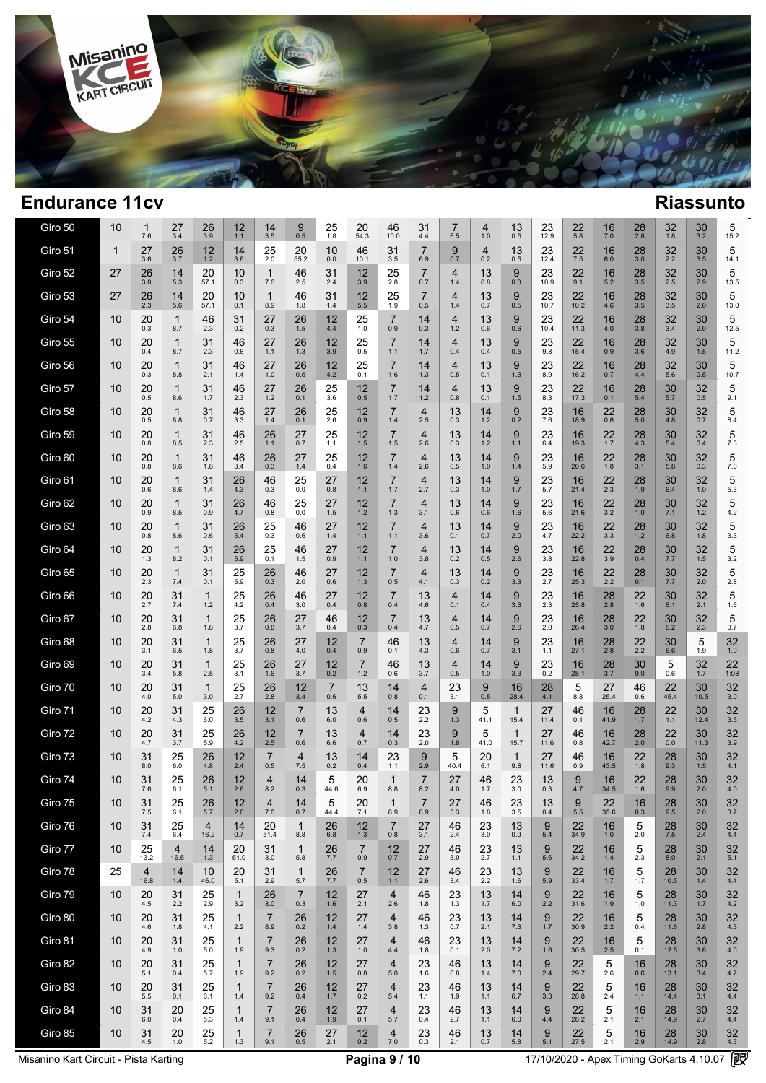

| Giro 50 | 10           | 1<br>7.6               | 27<br>3.4              | 26<br>3.9           | 12<br>1.1           | 14<br>3.5             | 9<br>0.5              | 25<br>1.8             | 20<br>54.3            | 46<br>10.0            | 31<br>4.4             | 7<br>6.5  | 4<br>1.0              | 13<br>0.5            | 23<br>12.9 | 22<br>5.8  | 16<br>7.0  | 28<br>2.8 | 32<br>1.8   | 30<br>3.2  | 5<br>15.2    |
|---------|--------------|------------------------|------------------------|---------------------|---------------------|-----------------------|-----------------------|-----------------------|-----------------------|-----------------------|-----------------------|-----------|-----------------------|----------------------|------------|------------|------------|-----------|-------------|------------|--------------|
| Giro 51 | $\mathbf{1}$ | 27<br>3.6              | 26<br>3.7              | 12<br>1.2           | 14<br>3.6           | 25<br>2.0             | 20<br>55.2            | 10<br>0.0             | 46<br>10.1            | 31<br>3.5             | 7<br>6.9              | 9<br>0.7  | $\overline{4}$<br>0.2 | 13<br>0.5            | 23<br>12.4 | 22<br>7.5  | 16<br>6.0  | 28<br>3.0 | 32<br>2.2   | 30<br>3.5  | 5<br>14.1    |
| Giro 52 | 27           | 26<br>3.0              | 14<br>5.3              | 20<br>57.1          | 10<br>0.3           | 1<br>7.6              | 46<br>2.5             | 31<br>2.4             | 12<br>3.9             | 25<br>2.8             | 7<br>0.7              | 4<br>1.4  | 13<br>0.8             | 9<br>0.3             | 23<br>10.9 | 22<br>9.1  | 16<br>5.2  | 28<br>3.5 | 32<br>2.5   | 30<br>2.9  | 5<br>13.5    |
| Giro 53 | 27           | 26<br>2.3              | 14<br>5.6              | 20<br>57.1          | 10<br>0.1           | 1<br>8.9              | 46<br>1.8             | 31<br>1.4             | 12<br>5.5             | 25<br>1.9             | 7<br>0.5              | 4<br>1.4  | 13<br>0.7             | 9<br>0.5             | 23<br>10.7 | 22<br>10.2 | 16<br>4.6  | 28<br>3.5 | 32<br>3.5   | 30<br>2.0  | 5<br>13.0    |
| Giro 54 | 10           | 20<br>0.3              | 1<br>8.7               | 46<br>2.3           | 31<br>0.2           | 27<br>0.3             | 26<br>1.5             | 12<br>4.4             | 25<br>1.0             | $\overline{7}$<br>0.9 | 14<br>0.3             | 4<br>1.2  | 13<br>0.6             | 9<br>0.6             | 23<br>10.4 | 22<br>11.3 | 16<br>4.0  | 28<br>3.8 | 32<br>3.4   | 30<br>2.0  | 5<br>12.5    |
| Giro 55 | 10           | 20<br>0.4              | 1<br>8.7               | 31<br>2.3           | 46<br>0.6           | 27<br>1.1             | 26<br>1.3             | 12<br>3.9             | 25<br>0.5             | 7<br>1.1              | 14<br>1.7             | 4<br>0.4  | 13<br>0.4             | 9<br>0.5             | 23<br>9.8  | 22<br>15.4 | 16<br>0.9  | 28<br>3.6 | 32<br>4.9   | 30<br>1.5  | 5<br>11.2    |
| Giro 56 | 10           | 20<br>0.3              | 1<br>8.8               | 31<br>2.1           | 46<br>1.4           | 27<br>1.0             | 26<br>0.5             | 12<br>4.2             | 25<br>0.1             | $\overline{7}$<br>1.6 | 14<br>1.3             | 4<br>0.5  | 13<br>0.1             | 9<br>1.3             | 23<br>8.9  | 22<br>16.2 | 16<br>0.7  | 28<br>4.4 | 32<br>5.6   | 30<br>0.5  | 5<br>10.7    |
| Giro 57 | 10           | 20<br>0.5              | 1<br>8.6               | 31<br>1.7           | 46<br>2.3           | 27<br>1.2             | 26<br>0.1             | 25<br>3.6             | 12<br>0.5             | 7<br>1.7              | 14<br>1.2             | 4<br>0.8  | 13<br>0.1             | 9<br>1.5             | 23<br>8.3  | 22<br>17.3 | 16<br>0.1  | 28<br>5.4 | 30<br>5.7   | 32<br>0.5  | 5<br>9.1     |
| Giro 58 | 10           | 20<br>0.5              | 1<br>8.8               | 31<br>0.7           | 46<br>3.3           | 27<br>1.4             | 26<br>0.1             | 25<br>2.6             | 12<br>0.9             | 7<br>1.4              | $\overline{4}$<br>2.5 | 13<br>0.3 | 14<br>1.2             | 9<br>0.2             | 23<br>7.6  | 16<br>18.9 | 22<br>0.6  | 28<br>5.0 | 30<br>4.8   | 32<br>0.7  | 5<br>8.4     |
| Giro 59 | 10           | 20<br>0.8              | 1<br>8.5               | 31<br>2.3           | 46<br>2.5           | 26<br>1.1             | 27<br>0.7             | 25<br>1.1             | 12<br>1.5             | 7<br>1.5              | $\overline{4}$<br>2.6 | 13<br>0.3 | 14<br>1.2             | 9<br>1.1             | 23<br>6.4  | 16<br>19.3 | 22<br>1.7  | 28<br>4.3 | 30<br>$5.4$ | 32<br>0.4  | 5<br>7.3     |
| Giro 60 | 10           | 20<br>0.8              | 1<br>8.6               | 31<br>1.8           | 46<br>3.4           | 26<br>0.3             | 27<br>1.4             | 25<br>0.4             | 12<br>1.6             | 7<br>1.4              | 4<br>2.6              | 13<br>0.5 | 14<br>1.0             | 9<br>1.4             | 23<br>5.9  | 16<br>20.6 | 22<br>1.8  | 28<br>3.1 | 30<br>5.8   | 32<br>0.3  | 5<br>$7.0$   |
| Giro 61 | 10           | 20<br>0.6              | 1<br>8.6               | 31<br>1.4           | 26<br>4.3           | 46<br>0.3             | 25<br>0.9             | 27<br>0.8             | 12<br>1.1             | 7<br>1.7              | $\overline{4}$<br>2.7 | 13<br>0.3 | 14<br>1.0             | 9<br>1.7             | 23<br>5.7  | 16<br>21.4 | 22<br>2.3  | 28<br>1.9 | 30<br>6.4   | 32<br>1.0  | 5<br>5.3     |
| Giro 62 | 10           | 20<br>0.9              | 1<br>8.5               | 31<br>0.9           | 26<br>4.7           | 46<br>0.8             | 25<br>0.0             | 27<br>1.5             | 12<br>1.2             | $\overline{7}$<br>1.3 | 4<br>3.1              | 13<br>0.6 | 14<br>0.6             | 9<br>1.6             | 23<br>5.6  | 16<br>21.6 | 22<br>3.2  | 28<br>1.0 | 30<br>7.1   | 32<br>1.2  | 5<br>$4.2\,$ |
| Giro 63 | 10           | 20<br>0.8              | 1<br>8.6               | 31<br>0.6           | 26<br>5.4           | 25<br>0.3             | 46<br>0.6             | 27<br>1.4             | 12<br>1.1             | 7<br>1.1              | 4<br>3.6              | 13<br>0.1 | 14<br>0.7             | 9<br>2.0             | 23<br>4.7  | 16<br>22.2 | 22<br>3.3  | 28<br>1.2 | 30<br>6.8   | 32<br>1.8  | 5<br>3.3     |
| Giro 64 | 10           | 20<br>1.3              | 1<br>8.2               | 31<br>0.1           | 26<br>5.9           | 25<br>0.1             | 46<br>1.5             | 27<br>0.9             | 12<br>1.1             | 7<br>1.0              | 4<br>3.8              | 13<br>0.2 | 14<br>0.5             | 9<br>2.6             | 23<br>3.8  | 16<br>22.8 | 22<br>3.9  | 28<br>0.4 | 30<br>7.7   | 32<br>1.5  | 5<br>3.2     |
| Giro 65 | 10           | 20<br>2.3              | 1<br>7.4               | 31<br>0.1           | 25<br>5.9           | 26<br>0.3             | 46<br>2.0             | 27<br>0.6             | 12<br>1.3             | 7<br>0.5              | 4<br>4.1              | 13<br>0.3 | 14<br>0.2             | 9<br>3.3             | 23<br>2.7  | 16<br>25.3 | 22<br>2.2  | 28<br>0.1 | 30<br>7.7   | 32<br>2.0  | 5<br>2.8     |
| Giro 66 | 10           | 20<br>2.7              | 31<br>7.4              | $\mathbf{1}$<br>1.2 | 25<br>4.2           | 26<br>0.4             | 46<br>3.0             | 27<br>0.4             | 12<br>0.8             | 7<br>0.4              | 13<br>4.6             | 4<br>0.1  | 14<br>0.4             | 9<br>3.3             | 23<br>2.3  | 16<br>25.8 | 28<br>2.8  | 22<br>1.6 | 30<br>6.1   | 32<br>2.1  | 5<br>1.6     |
| Giro 67 | 10           | 20<br>2.8              | 31<br>6.8              | $\mathbf{1}$<br>1.8 | 25<br>3.7           | 26<br>0.8             | 27<br>3.7             | 46<br>0.4             | 12<br>0.3             | 7<br>0.4              | 13<br>4.7             | 4<br>0.5  | 14<br>0.7             | 9<br>2.6             | 23<br>2.0  | 16<br>26.4 | 28<br>3.0  | 22<br>1.8 | 30<br>6.2   | 32<br>2.3  | 5<br>0.7     |
| Giro 68 | 10           | 20<br>3.1              | 31<br>6.5              | $\mathbf{1}$<br>1.8 | 25<br>3.7           | 26<br>0.8             | 27<br>4.0             | 12<br>0.4             | $\overline{7}$<br>0.9 | 46<br>0.1             | 13<br>4.3             | 4<br>0.6  | 14<br>0.7             | 9<br>3.1             | 23<br>1.1  | 16<br>27.1 | 28<br>2.8  | 22<br>2.2 | 30<br>6.6   | 5<br>1.9   | 32<br>1.0    |
| Giro 69 | 10           | 20<br>3.4              | 31<br>5.8              | $\mathbf{1}$<br>2.5 | 25<br>3.1           | 26<br>1.6             | 27<br>3.7             | 12<br>0.2             | $\overline{7}$<br>1.2 | 46<br>0.6             | 13<br>3.7             | 4<br>0.5  | 14<br>1.0             | 9<br>3.3             | 23<br>0.2  | 16<br>28.1 | 28<br>3.7  | 30<br>9.0 | 5<br>0.6    | 32<br>1.7  | 22<br>1:08   |
| Giro 70 | 10           | 20<br>4.0              | 31<br>5.0              | $\mathbf{1}$<br>3.0 | 25<br>2.7           | 26<br>2.8             | 12<br>3.4             | $\overline{7}$<br>0.6 | 13<br>5.5             | 14<br>0.8             | 4<br>0.1              | 23<br>3.1 | 9<br>0.5              | 16<br>28.4           | 28<br>4.1  | 5<br>8.8   | 27<br>25.4 | 46<br>0.6 | 22<br>45.4  | 30<br>10.5 | 32<br>3.0    |
| Giro 71 | 10           | 20<br>4.2              | 31<br>4.3              | 25<br>6.0           | 26<br>3.5           | 12<br>3.1             | $\overline{7}$<br>0.6 | 13<br>6.0             | 4<br>0.6              | 14<br>0.5             | 23<br>2.2             | 9<br>1.3  | 5<br>41.1             | $\mathbf{1}$<br>15.4 | 27<br>11.4 | 46<br>0.1  | 16<br>41.9 | 28<br>1.7 | 22<br>1.1   | 30<br>12.4 | 32<br>3.5    |
| Giro 72 | 10           | 20<br>4.7              | 31<br>3.7              | 25<br>5.9           | 26<br>4.2           | 12<br>2.5             | $\overline{7}$<br>0.6 | 13<br>6.6             | 4<br>0.7              | 14<br>0.3             | 23<br>2.0             | 9<br>1.8  | 5<br>41.0             | $\mathbf 1$<br>15.7  | 27<br>11.6 | 46<br>0.8  | 16<br>42.7 | 28<br>2.0 | 22<br>0.0   | 30<br>11.3 | 32<br>3.9    |
| Giro 73 | 10           | 31<br>8.0              | 25<br>6.0              | 26<br>4.8           | 12<br>2.4           | $\overline{7}$<br>0.5 | 4<br>7.5              | 13<br>0.2             | 14<br>0.4             | 23<br>1.1             | 9<br>2.9              | 5<br>40.4 | 20<br>6.1             | $\mathbf{1}$<br>9.8  | 27<br>11.6 | 46<br>0.9  | 16<br>43.5 | 22<br>1.8 | 28<br>9.3   | 30<br>1.5  | 32<br>4.1    |
| Giro 74 | 10           | 31<br>7.6              | 25<br>6.1              | 26<br>5.1           | 12<br>2.6           | 4<br>8.2              | 14<br>0.3             | 5<br>44.6             | 20<br>6.9             | $\mathbf 1$<br>8.8    | 7<br>8.2              | 27<br>4.0 | 46<br>1.7             | 23<br>3.0            | 13<br>0.3  | 9<br>4.7   | 16<br>34.5 | 22<br>1.6 | 28<br>9.9   | 30<br>2.0  | 32<br>4.0    |
| Giro 75 | 10           | 31<br>7.5              | 25<br>6.1              | 26<br>5.7           | 12<br>2.6           | 4<br>7.6              | 14<br>0.7             | 5<br>44.4             | 20<br>7.1             | 1<br>8.9              | 8.9                   | 27<br>3.3 | 46<br>1.8             | 23<br>3.5            | 13<br>0.4  | 9<br>5.5   | 22<br>35.6 | 16<br>0.3 | 28<br>9.5   | 30<br>2.0  | 32<br>3.7    |
| Giro 76 | 10           | 31<br>7.4              | 25<br>6.4              | 4<br>16.2           | 14<br>0.7           | 20<br>51.4            | $\mathbf{1}$<br>8.8   | 26<br>6.8             | 12<br>1.3             | $\overline{7}$<br>0.8 | 27<br>3.1             | 46<br>2.4 | 23<br>3.0             | 13<br>0.9            | 9<br>5.4   | 22<br>34.9 | 16<br>1.0  | 5<br>2.0  | 28<br>7.5   | 30<br>2.4  | 32<br>4.4    |
| Giro 77 | 10           | 25<br>13.2             | $\overline{4}$<br>16.5 | 14<br>1.3           | 20<br>51.0          | 31<br>3.0             | $\mathbf{1}$<br>5.8   | 26<br>7.7             | $\overline{7}$<br>0.9 | 12<br>0.7             | 27<br>2.9             | 46<br>3.0 | 23<br>2.7             | 13<br>1.1            | 9<br>5.6   | 22<br>34.2 | 16<br>1.4  | 5<br>2.3  | 28<br>8.0   | 30<br>2.1  | 32<br>5.1    |
| Giro 78 | 25           | $\overline{4}$<br>16.8 | 14<br>1.4              | 10<br>46.0          | 20<br>5.1           | 31<br>2.9             | $\mathbf{1}$<br>5.7   | 26<br>7.7             | $\overline{7}$<br>0.5 | 12<br>1.1             | 27<br>2.6             | 46<br>3.4 | 23<br>2.2             | 13<br>1.6            | 9<br>5.9   | 22<br>33.4 | 16<br>1.7  | 5<br>1.7  | 28<br>10.5  | 30<br>1.4  | 32<br>4.4    |
| Giro 79 | 10           | 20<br>4.5              | 31<br>2.2              | 25<br>2.9           | $\mathbf{1}$<br>3.2 | 26<br>8.0             | $\overline{7}$<br>0.3 | 12<br>1.6             | 27<br>2.1             | 4<br>2.6              | 46<br>1.8             | 23<br>1.3 | 13<br>1.7             | 14<br>6.0            | 9<br>2.2   | 22<br>31.6 | 16<br>1.9  | 5<br>1.0  | 28<br>11.3  | 30<br>1.7  | 32<br>4.2    |
| Giro 80 | 10           | 20<br>4.6              | 31<br>1.8              | 25<br>4.1           | $\mathbf{1}$<br>2.2 | $\overline{7}$<br>8.9 | 26<br>0.2             | 12<br>1.4             | 27<br>1.4             | 4<br>3.8              | 46<br>1.3             | 23<br>0.7 | 13<br>2.1             | 14<br>7.3            | 9<br>1.7   | 22<br>30.9 | 16<br>2.2  | 5<br>0.4  | 28<br>11.6  | 30<br>2.8  | 32<br>4.3    |
| Giro 81 | 10           | 20<br>4.9              | 31<br>1.0              | 25<br>5.0           | $\mathbf{1}$<br>1.9 | $\overline{7}$<br>9.3 | 26<br>0.2             | 12<br>1.3             | 27<br>1.0             | $\overline{4}$<br>4.4 | 46<br>1.8             | 23<br>0.1 | 13<br>2.0             | 14<br>7.2            | 9<br>1.6   | 22<br>30.5 | 16<br>2.5  | 5<br>0.1  | 28<br>12.5  | 30<br>3.6  | 32<br>4.0    |
| Giro 82 | 10           | 20<br>5.1              | 31<br>0.4              | 25<br>5.7           | $\mathbf{1}$<br>1.9 | $\overline{7}$<br>9.2 | 26<br>0.2             | 12<br>1.5             | 27<br>0.8             | $\overline{4}$<br>5.0 | 23<br>1.6             | 46<br>0.8 | 13<br>1.4             | 14<br>7.0            | 9<br>2.4   | 22<br>29.7 | 5<br>2.6   | 16<br>0.6 | 28<br>13.1  | 30<br>3.4  | 32<br>4.7    |
| Giro 83 | 10           | 20<br>5.5              | 31<br>0.1              | 25<br>6.1           | $\mathbf{1}$<br>1.4 | $\overline{7}$<br>9.2 | 26<br>0.4             | 12<br>1.7             | 27<br>0.2             | 4<br>5.4              | 23<br>1.1             | 46<br>1.9 | 13<br>1.1             | 14<br>6.7            | 9<br>3.3   | 22<br>28.8 | 5<br>2.4   | 16<br>1.1 | 28<br>14.4  | 30<br>3.1  | 32<br>4.4    |
| Giro 84 | 10           | 31<br>6.0              | 20<br>0.4              | 25<br>5.3           | $\mathbf{1}$<br>1.4 | $\overline{7}$<br>9.1 | 26<br>0.4             | 12<br>1.9             | 27<br>0.1             | 4<br>5.7              | 23<br>0.4             | 46<br>2.7 | 13<br>1.1             | 14<br>6.0            | 9<br>4.4   | 22<br>28.2 | 5<br>2.1   | 16<br>2.1 | 28<br>14.9  | 30<br>2.7  | 32<br>4.4    |
| Giro 85 | 10           | 31<br>4.5              | 20<br>1.0              | 25<br>5.2           | 1<br>1.3            | $\overline{7}$<br>9.1 | 26<br>0.5             | 27<br>2.1             | 12<br>0.2             | 4<br>7.0              | 23<br>0.3             | 46<br>2.1 | 13<br>0.7             | 14<br>5.8            | 9<br>5.1   | 22<br>27.5 | 5<br>2.1   | 16<br>2.9 | 28<br>14.9  | 30<br>2.8  | 32<br>4.3    |